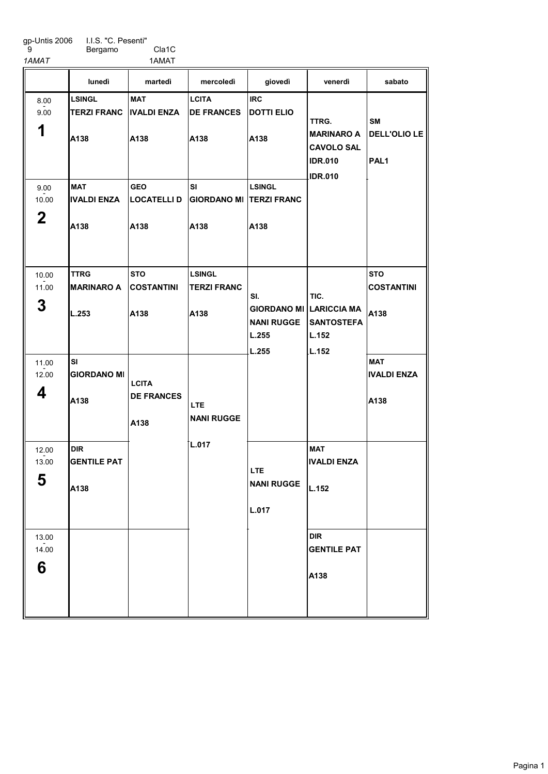I.I.S. "C. Pesenti"

9

Bergamo Cla1C 1AMAT 1AMAT

|                | lunedì             | martedì            | mercoledì                       | giovedì                        | venerdì                             | sabato              |
|----------------|--------------------|--------------------|---------------------------------|--------------------------------|-------------------------------------|---------------------|
| 8.00           | LSINGL             | <b>MAT</b>         | <b>LCITA</b>                    | <b>IRC</b>                     |                                     |                     |
| 9.00           | <b>TERZI FRANC</b> | <b>IVALDI ENZA</b> | <b>DE FRANCES</b>               | <b>DOTTI ELIO</b>              | TTRG.                               | <b>SM</b>           |
| 1              | A138               | A138               | A138                            | A138                           | <b>MARINARO A</b>                   | <b>DELL'OLIO LE</b> |
|                |                    |                    |                                 |                                | <b>CAVOLO SAL</b><br><b>IDR.010</b> | PAL <sub>1</sub>    |
|                |                    |                    |                                 |                                | <b>IDR.010</b>                      |                     |
| 9.00           | <b>MAT</b>         | <b>GEO</b>         | <b>SI</b>                       | <b>LSINGL</b>                  |                                     |                     |
| 10.00          | <b>IVALDI ENZA</b> | <b>LOCATELLI D</b> | <b>GIORDANO MI TERZI FRANC</b>  |                                |                                     |                     |
| $\mathbf 2$    | A138               | A138               | A138                            | A138                           |                                     |                     |
|                |                    |                    |                                 |                                |                                     |                     |
| 10.00          | <b>TTRG</b>        | <b>STO</b>         | <b>LSINGL</b>                   |                                |                                     | <b>STO</b>          |
| 11.00          | <b>MARINARO A</b>  | <b>COSTANTINI</b>  | <b>TERZI FRANC</b>              | SI.                            | TIC.                                | <b>COSTANTINI</b>   |
| 3              | L.253              | A138               | A138                            | <b>GIORDANO MI LARICCIA MA</b> |                                     | A138                |
|                |                    |                    |                                 | <b>NANI RUGGE</b>              | <b>SANTOSTEFA</b>                   |                     |
|                |                    |                    |                                 | L.255                          | L.152                               |                     |
| 11.00          | lsı                |                    |                                 | L.255                          | L.152                               | <b>MAT</b>          |
| 12.00          | <b>GIORDANO MI</b> | <b>LCITA</b>       |                                 |                                |                                     | <b>IVALDI ENZA</b>  |
| 4              | A138               | <b>DE FRANCES</b>  |                                 |                                |                                     | A138                |
|                |                    |                    | <b>LTE</b><br><b>NANI RUGGE</b> |                                |                                     |                     |
|                |                    | A138               |                                 |                                |                                     |                     |
| 12.00          | <b>DIR</b>         |                    | L.017                           |                                | <b>MAT</b>                          |                     |
| 13.00          | <b>GENTILE PAT</b> |                    |                                 | <b>LTE</b>                     | <b>IVALDI ENZA</b>                  |                     |
| E.<br>່ວ       | A138               |                    |                                 | <b>NANI RUGGE</b>              | L.152                               |                     |
|                |                    |                    |                                 | L.017                          |                                     |                     |
|                |                    |                    |                                 |                                |                                     |                     |
| 13.00<br>14.00 |                    |                    |                                 |                                | <b>DIR</b><br><b>GENTILE PAT</b>    |                     |
| 6              |                    |                    |                                 |                                |                                     |                     |
|                |                    |                    |                                 |                                | A138                                |                     |
|                |                    |                    |                                 |                                |                                     |                     |
|                |                    |                    |                                 |                                |                                     |                     |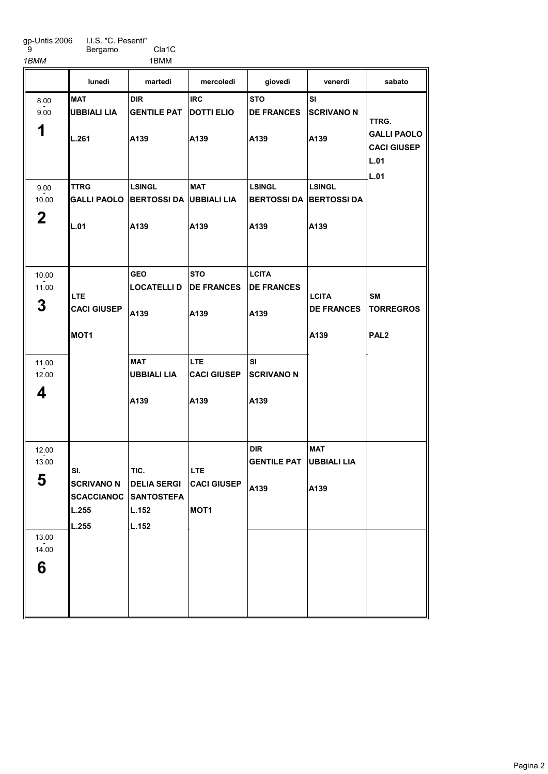I.I.S. "C. Pesenti" Bergamo Cla1C

1BMM 1BMM

|                     | lunedì                            | martedì                                         | mercoledì                                | giovedì                                   | venerdì                             | sabato                                                   |
|---------------------|-----------------------------------|-------------------------------------------------|------------------------------------------|-------------------------------------------|-------------------------------------|----------------------------------------------------------|
| 8.00<br>9.00        | <b>MAT</b><br>UBBIALI LIA         | <b>DIR</b><br><b>GENTILE PAT</b>                | <b>IRC</b><br><b>DOTTI ELIO</b>          | <b>STO</b><br><b>DE FRANCES</b>           | SI<br><b>SCRIVANO N</b>             | TTRG.                                                    |
| 1                   | L.261                             | A139                                            | A139                                     | A139                                      | A139                                | <b>GALLI PAOLO</b><br><b>CACI GIUSEP</b><br>L.01<br>L.01 |
| 9.00<br>10.00       | <b>TTRG</b><br><b>GALLI PAOLO</b> | <b>LSINGL</b><br><b>BERTOSSI DA UBBIALI LIA</b> | <b>MAT</b>                               | <b>LSINGL</b><br><b>BERTOSSIDA</b>        | <b>LSINGL</b><br><b>BERTOSSI DA</b> |                                                          |
| $\mathbf 2$         | L.01                              | A139                                            | A139                                     | A139                                      | A <sub>139</sub>                    |                                                          |
| 10.00<br>11.00<br>3 | <b>LTE</b><br><b>CACI GIUSEP</b>  | <b>GEO</b><br><b>LOCATELLI D</b><br>A139        | <b>STO</b><br><b>DE FRANCES</b><br>A139  | <b>LCITA</b><br><b>DE FRANCES</b><br>A139 | <b>LCITA</b><br><b>DE FRANCES</b>   | <b>SM</b><br><b>TORREGROS</b>                            |
|                     | MOT <sub>1</sub>                  |                                                 |                                          |                                           | A139                                | PAL <sub>2</sub>                                         |
| 11.00<br>12.00<br>4 |                                   | <b>MAT</b><br><b>UBBIALI LIA</b><br>A139        | <b>LTE</b><br><b>CACI GIUSEP</b><br>A139 | <b>SI</b><br><b>SCRIVANO N</b><br>A139    |                                     |                                                          |
|                     |                                   |                                                 |                                          |                                           |                                     |                                                          |
| 12.00<br>13.00<br>5 | SI.<br><b>SCRIVANO N</b>          | TIC.<br><b>DELIA SERGI</b>                      | <b>LTE</b><br><b>CACI GIUSEP</b>         | <b>DIR</b><br><b>GENTILE PAT</b>          | <b>MAT</b><br><b>UBBIALI LIA</b>    |                                                          |
|                     | SCACCIANOC<br>L.255<br>L.255      | <b>SANTOSTEFA</b><br>L.152<br>L.152             | MOT <sub>1</sub>                         | A139                                      | A139                                |                                                          |
| 13.00<br>14.00      |                                   |                                                 |                                          |                                           |                                     |                                                          |
| 6                   |                                   |                                                 |                                          |                                           |                                     |                                                          |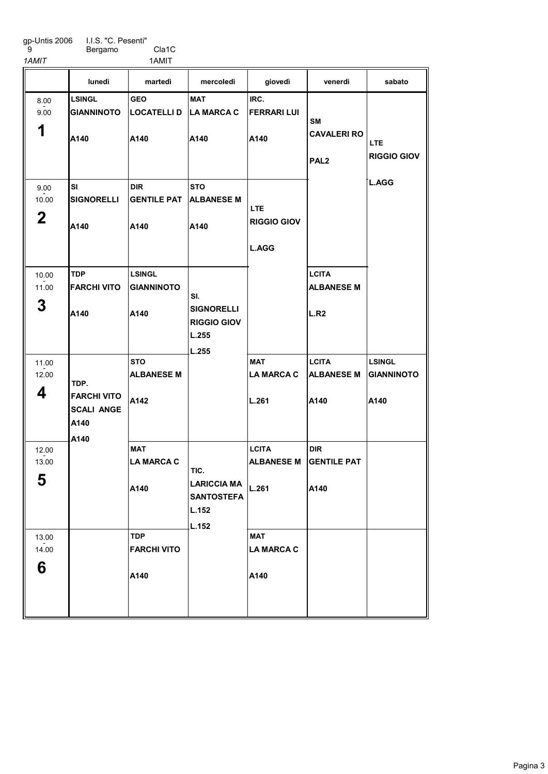I.I.S. "C. Pesenti" Bergamo Cla1C

9

1AMIT 1AMIT

|                              | lunedì                                                          | martedì                                    | mercoledì                                                         | giovedì                                    | venerdì                                               | sabato                                     |
|------------------------------|-----------------------------------------------------------------|--------------------------------------------|-------------------------------------------------------------------|--------------------------------------------|-------------------------------------------------------|--------------------------------------------|
| 8.00<br>9.00<br>1            | <b>LSINGL</b><br><b>GIANNINOTO</b><br>A140                      | <b>GEO</b><br><b>LOCATELLI D</b><br>A140   | <b>MAT</b><br><b>LA MARCA C</b><br>A140                           | IRC.<br><b>FERRARI LUI</b><br>A140         | <b>SM</b><br><b>CAVALERI RO</b><br>PAL <sub>2</sub>   | <b>LTE</b><br><b>RIGGIO GIOV</b>           |
| 9.00<br>10.00<br>$\mathbf 2$ | SI<br><b>SIGNORELLI</b><br>A140                                 | <b>DIR</b><br><b>GENTILE PAT</b><br>A140   | <b>STO</b><br><b>ALBANESE M</b><br>A140                           | LTE.<br><b>RIGGIO GIOV</b><br><b>L.AGG</b> |                                                       | <b>L.AGG</b>                               |
| 10.00<br>11.00<br>3          | <b>TDP</b><br><b>FARCHI VITO</b><br>A140                        | <b>LSINGL</b><br><b>GIANNINOTO</b><br>A140 | SI.<br><b>SIGNORELLI</b><br><b>RIGGIO GIOV</b><br>L.255<br>L.255  |                                            | <b>LCITA</b><br><b>ALBANESE M</b><br>L.R <sub>2</sub> |                                            |
| 11.00<br>12.00<br>4          | TDP.<br><b>FARCHI VITO</b><br><b>SCALI ANGE</b><br>A140<br>A140 | <b>STO</b><br><b>ALBANESE M</b><br>A142    |                                                                   | <b>MAT</b><br><b>LA MARCA C</b><br>L.261   | <b>LCITA</b><br><b>ALBANESE M</b><br>A140             | <b>LSINGL</b><br><b>GIANNINOTO</b><br>A140 |
| 12.00<br>13.00<br>E.<br>ີວ   |                                                                 | <b>MAT</b><br><b>LA MARCA C</b><br>A140    | TIC.<br><b>LARICCIA MA</b><br><b>SANTOSTEFA</b><br>L.152<br>L.152 | <b>LCITA</b><br><b>ALBANESE M</b><br>L.261 | <b>DIR</b><br><b>GENTILE PAT</b><br>A140              |                                            |
| 13.00<br>14.00<br>6          |                                                                 | <b>TDP</b><br><b>FARCHI VITO</b><br>A140   |                                                                   | <b>MAT</b><br><b>LA MARCA C</b><br>A140    |                                                       |                                            |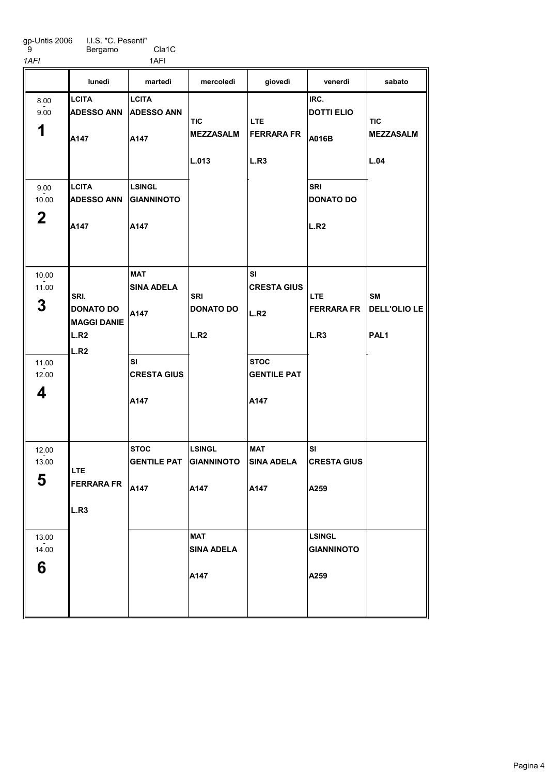gp-Untis 2006 9

I.I.S. "C. Pesenti" Bergamo Cla1C

1AFI 1AFI 1AFI

| ,, ,, ,                               |                                                                                        | .                                                                   |                                         |                                                                              |                                                 |                                        |
|---------------------------------------|----------------------------------------------------------------------------------------|---------------------------------------------------------------------|-----------------------------------------|------------------------------------------------------------------------------|-------------------------------------------------|----------------------------------------|
|                                       | lunedì                                                                                 | martedì                                                             | mercoledì                               | giovedì                                                                      | venerdì                                         | sabato                                 |
| 8.00<br>9.00<br>1                     | <b>LCITA</b><br><b>ADESSO ANN</b><br>A147                                              | <b>LCITA</b><br><b>ADESSO ANN</b><br>A147                           | <b>TIC</b><br><b>MEZZASALM</b><br>L.013 | <b>LTE</b><br><b>FERRARA FR</b><br>L.R3                                      | IRC.<br><b>DOTTI ELIO</b><br>A016B              | <b>TIC</b><br><b>MEZZASALM</b><br>L.04 |
| 9.00<br>10.00<br>$\boldsymbol{2}$     | <b>LCITA</b><br><b>ADESSO ANN</b><br>A147                                              | <b>LSINGL</b><br><b>GIANNINOTO</b><br>A147                          |                                         |                                                                              | <b>SRI</b><br><b>DONATO DO</b><br>L.R2          |                                        |
| 10.00<br>11.00<br>3<br>11.00<br>12.00 | SRI.<br><b>DONATO DO</b><br><b>MAGGI DANIE</b><br>L.R <sub>2</sub><br>L.R <sub>2</sub> | <b>MAT</b><br><b>SINA ADELA</b><br>A147<br>SI<br><b>CRESTA GIUS</b> | SRI<br><b>DONATO DO</b><br>L.R2         | <b>SI</b><br><b>CRESTA GIUS</b><br>L.R2<br><b>STOC</b><br><b>GENTILE PAT</b> | <b>LTE</b><br>FERRARA FR   DELL'OLIO LE<br>L.R3 | <b>SM</b><br>PAL <sub>1</sub>          |
| 4                                     |                                                                                        | A147                                                                |                                         | A147                                                                         |                                                 |                                        |
| 12.00<br>13.00<br>5                   | <b>LTE</b><br><b>FERRARA FR</b><br>L.R3                                                | <b>STOC</b><br><b>GENTILE PAT</b><br>A147                           | <b>LSINGL</b><br>GIANNINOTO<br>A147     | MAT<br><b>SINA ADELA</b><br>A147                                             | SI<br><b>CRESTA GIUS</b><br>A259                |                                        |
| 13.00<br>14.00<br>6                   |                                                                                        |                                                                     | <b>MAT</b><br><b>SINA ADELA</b><br>A147 |                                                                              | <b>LSINGL</b><br><b>GIANNINOTO</b><br>A259      |                                        |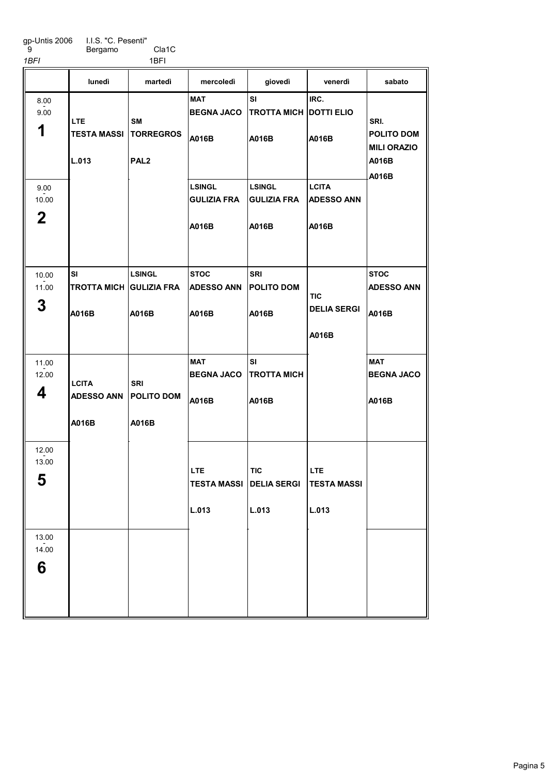gp-Untis 2006 9 I.I.S. "C. Pesenti" Bergamo Cla1C

| 1BFI                         |                                                       | 1BFI                                     |                                              |                                                       |                                            |                                                            |
|------------------------------|-------------------------------------------------------|------------------------------------------|----------------------------------------------|-------------------------------------------------------|--------------------------------------------|------------------------------------------------------------|
|                              | lunedì                                                | martedì                                  | mercoledì                                    | giovedì                                               | venerdì                                    | sabato                                                     |
| 8.00<br>9.00<br>1            | <b>LTE</b><br><b>TESTA MASSI   TORREGROS</b><br>L.013 | <b>SM</b><br>PAL <sub>2</sub>            | <b>MAT</b><br><b>BEGNA JACO</b><br>A016B     | <b>SI</b><br><b>TROTTA MICH DOTTI ELIO</b><br>A016B   | IRC.<br>A016B                              | SRI.<br>POLITO DOM<br><b>MILI ORAZIO</b><br>A016B<br>A016B |
| 9.00<br>10.00<br>$\mathbf 2$ |                                                       |                                          | <b>LSINGL</b><br><b>GULIZIA FRA</b><br>A016B | <b>LSINGL</b><br><b>GULIZIA FRA</b><br>A016B          | <b>LCITA</b><br><b>ADESSO ANN</b><br>A016B |                                                            |
| 10.00<br>11.00<br>3          | SI<br>TROTTA MICH GULIZIA FRA<br>A016B                | <b>LSINGL</b><br>A016B                   | <b>STOC</b><br><b>ADESSO ANN</b><br>A016B    | <b>SRI</b><br><b>POLITO DOM</b><br>A016B              | TIC<br><b>DELIA SERGI</b><br>A016B         | <b>STOC</b><br><b>ADESSO ANN</b><br>A016B                  |
| 11.00<br>12.00<br>4          | <b>LCITA</b><br><b>ADESSO ANN</b><br>A016B            | <b>SRI</b><br><b>POLITO DOM</b><br>A016B | <b>MAT</b><br><b>BEGNA JACO</b><br>A016B     | SI<br><b>TROTTA MICH</b><br>A016B                     |                                            | <b>MAT</b><br><b>BEGNA JACO</b><br>A016B                   |
| 12.00<br>13.00<br>5          |                                                       |                                          | <b>LTE</b><br>L.013                          | <b>TIC</b><br><b>TESTA MASSI DELIA SERGI</b><br>L.013 | LTE<br><b>TESTA MASSI</b><br>L.013         |                                                            |
| 13.00<br>14.00<br>6          |                                                       |                                          |                                              |                                                       |                                            |                                                            |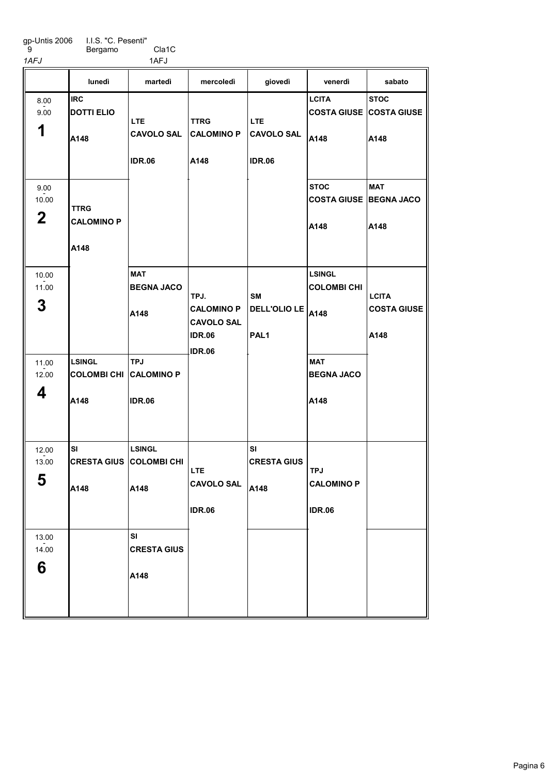Bergamo Cla1C 1AFJ 1AFJ

|                      | lunedì                                         | martedì                         | mercoledì                              | giovedì                         | venerdì                               | sabato                         |
|----------------------|------------------------------------------------|---------------------------------|----------------------------------------|---------------------------------|---------------------------------------|--------------------------------|
| 8.00                 | <b>IRC</b>                                     |                                 |                                        |                                 | <b>LCITA</b>                          | <b>STOC</b>                    |
| 9.00                 | <b>DOTTI ELIO</b>                              |                                 |                                        |                                 |                                       | <b>COSTA GIUSE COSTA GIUSE</b> |
| 1                    | A148                                           | LTE.<br><b>CAVOLO SAL</b>       | <b>TTRG</b><br><b>CALOMINO P</b>       | <b>LTE</b><br><b>CAVOLO SAL</b> | A148                                  | A148                           |
|                      |                                                | <b>IDR.06</b>                   | A148                                   | <b>IDR.06</b>                   |                                       |                                |
| 9.00                 |                                                |                                 |                                        |                                 | <b>STOC</b>                           | <b>MAT</b>                     |
| 10.00<br>$\mathbf 2$ | TTRG<br><b>CALOMINO P</b>                      |                                 |                                        |                                 | <b>COSTA GIUSE BEGNA JACO</b><br>A148 | A148                           |
|                      | A148                                           |                                 |                                        |                                 |                                       |                                |
| 10.00                |                                                | MAT                             |                                        |                                 | <b>LSINGL</b>                         |                                |
| 11.00                |                                                | <b>BEGNA JACO</b>               | TPJ.                                   | SΜ                              | <b>COLOMBI CHI</b>                    | <b>LCITA</b>                   |
| 3                    |                                                | A148                            | <b>CALOMINO P</b><br><b>CAVOLO SAL</b> | DELL'OLIO LE                    | A148                                  | <b>COSTA GIUSE</b>             |
|                      |                                                |                                 | <b>IDR.06</b>                          | PAL <sub>1</sub>                |                                       | A148                           |
| 11.00<br>12.00       | <b>LSINGL</b><br><b>COLOMBI CHI CALOMINO P</b> | <b>TPJ</b>                      | <b>IDR.06</b>                          |                                 | <b>MAT</b><br><b>BEGNA JACO</b>       |                                |
| 4                    | A148                                           | <b>IDR.06</b>                   |                                        |                                 | A148                                  |                                |
|                      |                                                |                                 |                                        |                                 |                                       |                                |
| 12.00                | SI                                             | <b>LSINGL</b>                   |                                        | SI                              |                                       |                                |
| 13.00                | <b>CRESTA GIUS COLOMBI CHI</b>                 |                                 | <b>LTE</b>                             | <b>CRESTA GIUS</b>              | <b>TPJ</b>                            |                                |
| 5                    | A148                                           | A148                            | <b>CAVOLO SAL</b>                      | A148                            | <b>CALOMINO P</b>                     |                                |
|                      |                                                |                                 | <b>IDR.06</b>                          |                                 | <b>IDR.06</b>                         |                                |
| 13.00<br>14.00       |                                                | <b>SI</b><br><b>CRESTA GIUS</b> |                                        |                                 |                                       |                                |
| 6                    |                                                | A148                            |                                        |                                 |                                       |                                |
|                      |                                                |                                 |                                        |                                 |                                       |                                |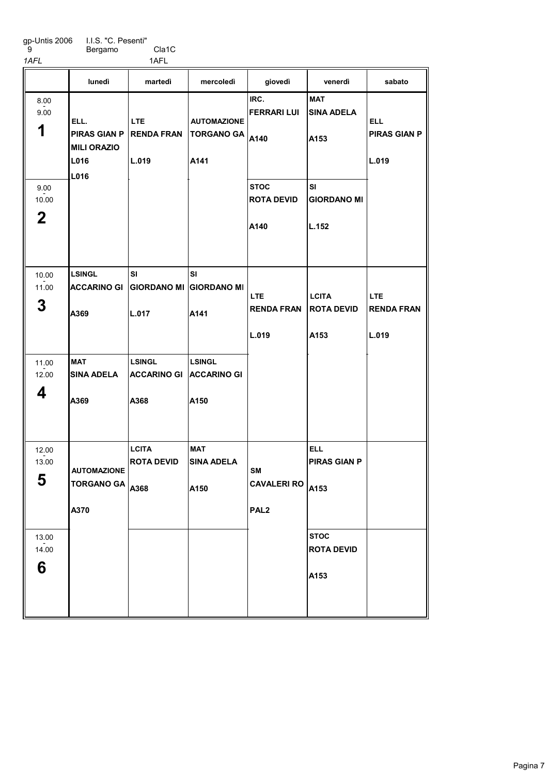Bergamo Cla1C

| 1AFL                         |                                                           | 1AFL                                        |                                                 |                                                     |                                           |                                            |
|------------------------------|-----------------------------------------------------------|---------------------------------------------|-------------------------------------------------|-----------------------------------------------------|-------------------------------------------|--------------------------------------------|
|                              | lunedì                                                    | martedì                                     | mercoledì                                       | giovedì                                             | venerdì                                   | sabato                                     |
| 8.00<br>9.00<br>1            | ELL.<br><b>PIRAS GIAN P</b><br><b>MILI ORAZIO</b><br>L016 | <b>LTE</b><br><b>RENDA FRAN</b><br>L.019    | <b>AUTOMAZIONE</b><br><b>TORGANO GA</b><br>A141 | IRC.<br><b>FERRARI LUI</b><br>A140                  | <b>MAT</b><br><b>SINA ADELA</b><br>A153   | <b>ELL</b><br><b>PIRAS GIAN P</b><br>L.019 |
| 9.00<br>10.00<br>$\mathbf 2$ | L016                                                      |                                             |                                                 | <b>STOC</b><br><b>ROTA DEVID</b><br>A140            | SI<br><b>GIORDANO MI</b><br>L.152         |                                            |
| 10.00<br>11.00<br>3          | <b>LSINGL</b><br><b>ACCARINO GI</b><br>A369               | SI<br><b>GIORDANO MI</b><br>L.017           | SI<br><b>GIORDANO MI</b><br>A141                | <b>LTE</b><br><b>RENDA FRAN</b><br>L.019            | <b>LCITA</b><br><b>ROTA DEVID</b><br>A153 | <b>LTE</b><br><b>RENDA FRAN</b><br>L.019   |
| 11.00<br>12.00<br>4          | <b>MAT</b><br><b>SINA ADELA</b><br>A369                   | <b>LSINGL</b><br><b>ACCARINO GI</b><br>A368 | <b>LSINGL</b><br><b>ACCARINO GI</b><br>A150     |                                                     |                                           |                                            |
| 12.00<br>13.00<br>5          | <b>AUTOMAZIONE</b><br>TORGANO GA $ _{A368}$<br>A370       | <b>LCITA</b><br><b>ROTA DEVID</b>           | <b>MAT</b><br><b>SINA ADELA</b><br>A150         | <b>SM</b><br><b>CAVALERI RO</b><br>PAL <sub>2</sub> | <b>ELL</b><br><b>PIRAS GIAN P</b><br>A153 |                                            |
| 13.00<br>14.00<br>6          |                                                           |                                             |                                                 |                                                     | <b>STOC</b><br><b>ROTA DEVID</b><br>A153  |                                            |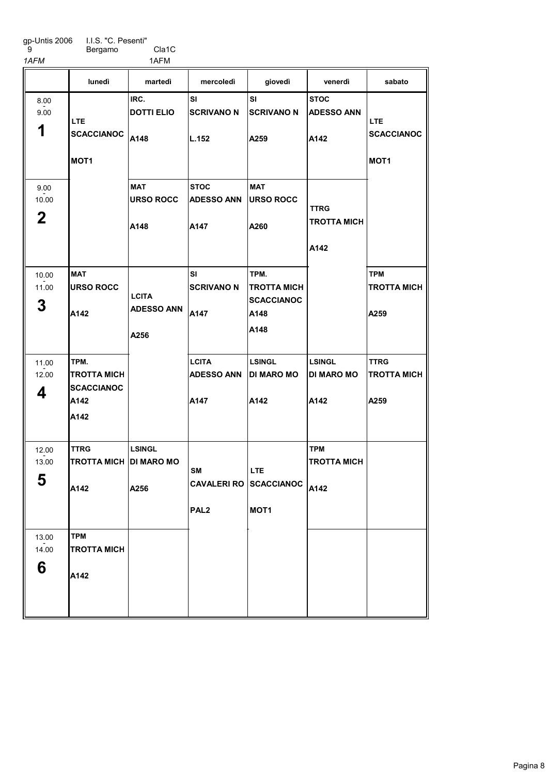Bergamo Cla1C

1AFM 1AFM

|                               | lunedì                                                          | martedì                                   | mercoledì                                 | giovedì                                                             | venerdì                                    | sabato                                              |
|-------------------------------|-----------------------------------------------------------------|-------------------------------------------|-------------------------------------------|---------------------------------------------------------------------|--------------------------------------------|-----------------------------------------------------|
| 8.00<br>9.00<br>1             | LTE.<br><b>SCACCIANOC</b><br>MOT <sub>1</sub>                   | IRC.<br><b>DOTTI ELIO</b><br>A148         | <b>SI</b><br><b>SCRIVANO N</b><br>L.152   | SI<br><b>SCRIVANO N</b><br>A259                                     | <b>STOC</b><br><b>ADESSO ANN</b><br>A142   | <b>LTE</b><br><b>SCACCIANOC</b><br>MOT <sub>1</sub> |
| 9.00<br>10.00<br>$\mathbf{2}$ |                                                                 | <b>MAT</b><br><b>URSO ROCC</b><br>A148    | <b>STOC</b><br><b>ADESSO ANN</b><br>A147  | <b>MAT</b><br><b>URSO ROCC</b><br>A260                              | <b>TTRG</b><br><b>TROTTA MICH</b><br>A142  |                                                     |
| 10.00<br>11.00<br>3           | <b>MAT</b><br><b>URSO ROCC</b><br>A142                          | <b>LCITA</b><br><b>ADESSO ANN</b><br>A256 | SI<br><b>SCRIVANO N</b><br>A147           | TPM.<br><b>TROTTA MICH</b><br><b>SCACCIANOC</b><br>A148<br>A148     |                                            | <b>TPM</b><br><b>TROTTA MICH</b><br>A259            |
| 11.00<br>12.00<br>4           | TPM.<br><b>TROTTA MICH</b><br><b>SCACCIANOC</b><br>A142<br>A142 |                                           | <b>LCITA</b><br><b>ADESSO ANN</b><br>A147 | <b>LSINGL</b><br><b>DI MARO MO</b><br>A142                          | <b>LSINGL</b><br><b>DI MARO MO</b><br>A142 | <b>TTRG</b><br><b>TROTTA MICH</b><br>A259           |
| 12.00<br>13.00<br>5           | <b>TTRG</b><br>TROTTA MICH DI MARO MO<br>A142                   | <b>LSINGL</b><br>A256                     | <b>SM</b><br>PAL <sub>2</sub>             | <b>LTE</b><br>CAVALERI RO SCACCIANOC $ _{A142}$<br>MOT <sub>1</sub> | <b>TPM</b><br><b>TROTTA MICH</b>           |                                                     |
| 13.00<br>14.00<br>6           | <b>TPM</b><br><b>TROTTA MICH</b><br>A142                        |                                           |                                           |                                                                     |                                            |                                                     |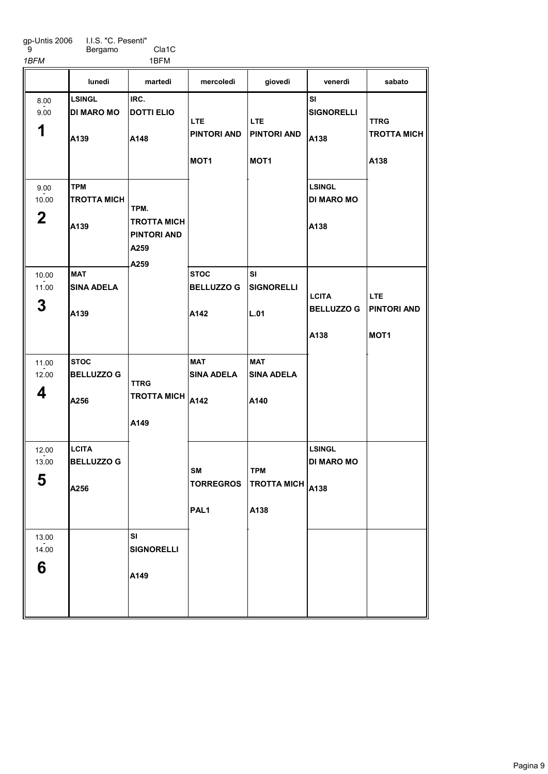I.I.S. "C. Pesenti" Bergamo Cla1C

 9 1BFM 1BFM

|                               | lunedì                                     | martedì                                                   | mercoledì                                            | giovedì                                                         | venerdì                                    | sabato                                         |
|-------------------------------|--------------------------------------------|-----------------------------------------------------------|------------------------------------------------------|-----------------------------------------------------------------|--------------------------------------------|------------------------------------------------|
| 8.00<br>9.00<br>1             | <b>LSINGL</b><br><b>DI MARO MO</b><br>A139 | IRC.<br><b>DOTTI ELIO</b><br>A148                         | <b>LTE</b><br><b>PINTORI AND</b><br>MOT <sub>1</sub> | LTE.<br><b>PINTORI AND</b><br>MOT <sub>1</sub>                  | <b>SI</b><br><b>SIGNORELLI</b><br>A138     | <b>TTRG</b><br><b>TROTTA MICH</b><br>A138      |
| 9.00<br>10.00<br>$\mathbf{2}$ | <b>TPM</b><br><b>TROTTA MICH</b><br>A139   | TPM.<br>TROTTA MICH<br><b>PINTORI AND</b><br>A259<br>A259 |                                                      |                                                                 | <b>LSINGL</b><br><b>DI MARO MO</b><br>A138 |                                                |
| 10.00<br>11.00<br>3           | <b>MAT</b><br><b>ISINA ADELA</b><br>A139   |                                                           | <b>STOC</b><br><b>BELLUZZO G</b><br>A142             | <b>SI</b><br><b>SIGNORELLI</b><br>L.01                          | <b>LCITA</b><br><b>BELLUZZO G</b><br>A138  | LTE.<br><b>PINTORI AND</b><br>MOT <sub>1</sub> |
| 11.00<br>12.00<br>4           | <b>STOC</b><br><b>BELLUZZO G</b><br>A256   | <b>TTRG</b><br><b>TROTTA MICH</b><br>A149                 | <b>MAT</b><br><b>SINA ADELA</b><br>A142              | <b>MAT</b><br><b>SINA ADELA</b><br>A140                         |                                            |                                                |
| 12.00<br>13.00<br>5           | <b>LCITA</b><br><b>BELLUZZO G</b><br>A256  |                                                           | <b>SM</b><br><b>TORREGROS</b><br>PAL <sub>1</sub>    | <b>TPM</b><br><b>TROTTA MICH</b> $_{\big  \text{A138}}$<br>A138 | <b>LSINGL</b><br><b>DI MARO MO</b>         |                                                |
| 13.00<br>14.00<br>6           |                                            | SI<br><b>SIGNORELLI</b><br>A149                           |                                                      |                                                                 |                                            |                                                |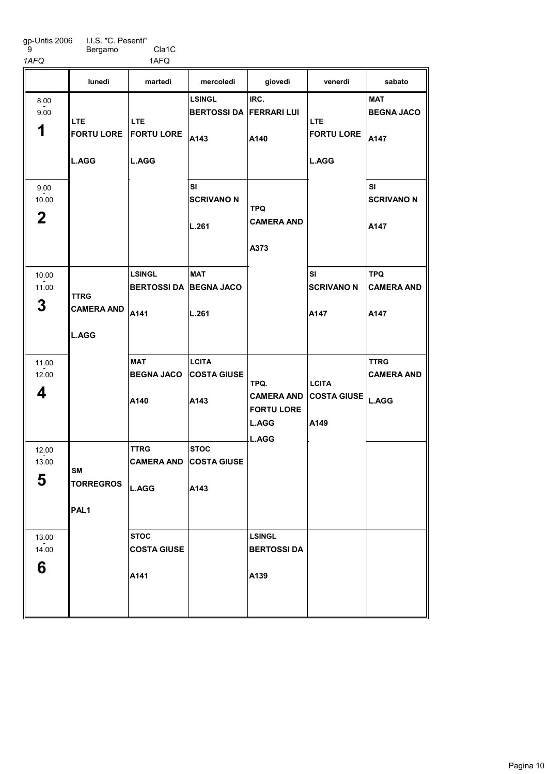Bergamo Cla1C 1AFQ 1AFQ

|                              | lunedì                                           | martedì                                                | mercoledì                                               | giovedì                                                 | venerdì                                                        | sabato                                  |
|------------------------------|--------------------------------------------------|--------------------------------------------------------|---------------------------------------------------------|---------------------------------------------------------|----------------------------------------------------------------|-----------------------------------------|
| 8.00<br>9.00<br>1            | LTE.<br><b>L.AGG</b>                             | LTE.<br><b>FORTU LORE FORTU LORE</b><br><b>L.AGG</b>   | <b>LSINGL</b><br><b>BERTOSSI DA FERRARI LUI</b><br>A143 | IRC.<br>A140                                            | LTE<br><b>FORTU LORE</b><br><b>L.AGG</b>                       | <b>MAT</b><br><b>BEGNA JACO</b><br>A147 |
| 9.00<br>10.00<br>$\mathbf 2$ |                                                  |                                                        | SI<br><b>SCRIVANO N</b><br>L.261                        | <b>TPQ</b><br><b>CAMERA AND</b><br>A373                 |                                                                | SI<br><b>SCRIVANO N</b><br>A147         |
| 10.00<br>11.00<br>3          | <b>TTRG</b><br><b>CAMERA AND</b><br><b>L.AGG</b> | <b>LSINGL</b><br><b>BERTOSSI DA BEGNA JACO</b><br>A141 | <b>MAT</b><br>L.261                                     |                                                         | SI<br><b>SCRIVANO N</b><br>A147                                | <b>TPQ</b><br><b>CAMERA AND</b><br>A147 |
| 11.00<br>12.00<br>4          |                                                  | MAT<br><b>BEGNA JACO</b><br>A140                       | ∣LCITA<br><b>COSTA GIUSE</b><br>A143                    | TPQ.<br><b>CAMERA AND</b><br><b>FORTU LORE</b><br>L.AGG | <b>LCITA</b><br>$ {\tt cosTA}$ GIUSE $ _{\sf L. AGG} $<br>A149 | <b>TTRG</b><br><b>CAMERA AND</b>        |
| 12.00<br>13.00<br>5          | SM<br><b>TORREGROS</b><br>PAL1                   | TTRG<br><b>L.AGG</b>                                   | <b>STOC</b><br><b>CAMERA AND COSTA GIUSE</b><br>A143    | <b>L.AGG</b>                                            |                                                                |                                         |
| 13.00<br>14.00<br>6          |                                                  | <b>STOC</b><br><b>COSTA GIUSE</b><br>A141              |                                                         | <b>LSINGL</b><br><b>BERTOSSIDA</b><br>A139              |                                                                |                                         |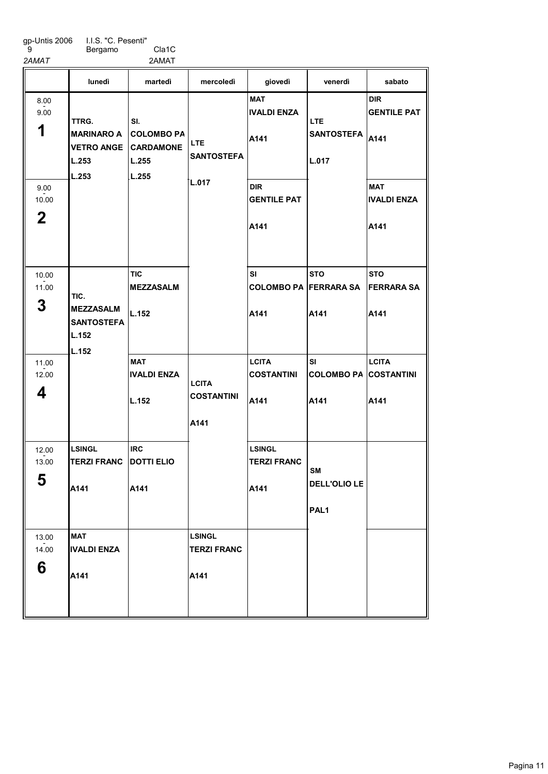A<sub>141</sub>

I.I.S. "C. Pesenti" Bergamo Cla1C

2AMAT 2AMAT

9

|                                                   | lunedì                                                            | martedì                                                        | mercoledì                                          | giovedì                                                                              | venerdì                                              | sabato                                                                               |
|---------------------------------------------------|-------------------------------------------------------------------|----------------------------------------------------------------|----------------------------------------------------|--------------------------------------------------------------------------------------|------------------------------------------------------|--------------------------------------------------------------------------------------|
| 8.00<br>9.00<br>1<br>9.00<br>10.00<br>$\mathbf 2$ | TTRG.<br><b>MARINARO A</b><br><b>VETRO ANGE</b><br>L.253<br>L.253 | SI.<br><b>COLOMBO PA</b><br><b>CARDAMONE</b><br>L.255<br>L.255 | <b>LTE</b><br><b>SANTOSTEFA</b><br>L.017           | <b>MAT</b><br><b>IVALDI ENZA</b><br>A141<br><b>DIR</b><br><b>GENTILE PAT</b><br>A141 | LTE.<br><b>SANTOSTEFA</b><br>L.017                   | <b>DIR</b><br><b>GENTILE PAT</b><br>A141<br><b>MAT</b><br><b>IVALDI ENZA</b><br>A141 |
| 10.00<br>11.00<br>3                               | TIC.<br><b>MEZZASALM</b><br><b>SANTOSTEFA</b><br>L.152            | <b>TIC</b><br><b>MEZZASALM</b><br>L.152                        |                                                    | SI<br><b>COLOMBO PA FERRARA SA</b><br>A141                                           | <b>STO</b><br>A141                                   | <b>STO</b><br><b>FERRARA SA</b><br>A141                                              |
| 11.00<br>12.00<br>4                               | L.152                                                             | <b>MAT</b><br><b>IVALDI ENZA</b><br>L.152                      | <b>LCITA</b><br><b>COSTANTINI</b><br>A141          | <b>LCITA</b><br><b>COSTANTINI</b><br>A141                                            | SI<br><b>COLOMBO PA COSTANTINI</b><br>A141           | <b>LCITA</b><br>A141                                                                 |
| 12.00<br>13.00<br>5                               | <b>LSINGL</b><br><b>TERZI FRANC</b><br>A141                       | <b>IRC</b><br><b>DOTTI ELIO</b><br>A141                        |                                                    | <b>LSINGL</b><br><b>TERZI FRANC</b><br>A141                                          | <b>SM</b><br><b>DELL'OLIO LE</b><br>PAL <sub>1</sub> |                                                                                      |
| 13.00<br>14.00<br>6                               | <b>MAT</b><br><b>IVALDI ENZA</b><br><b>A444</b>                   |                                                                | <b>LSINGL</b><br><b>TERZI FRANC</b><br><b>A141</b> |                                                                                      |                                                      |                                                                                      |

A<sub>141</sub>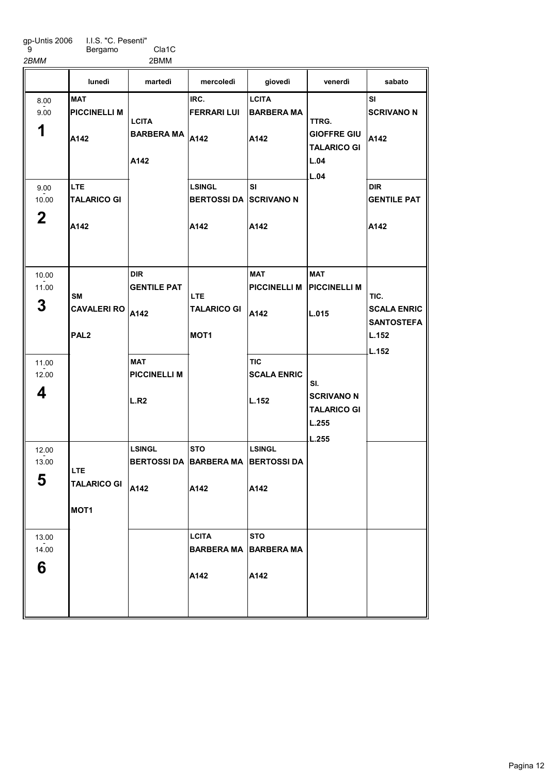Bergamo Cla1C 2BMM 2BMM

**MAT** PICCINELLI M A142 LTE TALARICO GI A<sub>142</sub> DIR GENTILE PAT CAVALERI RO A142 MAT PICCINELLI M L.R<sub>2</sub> LSINGL BERTOSSI DA ∣BARBERA MA A142 IRC. FERRARI LUI BARBERA MA $\vert$ A142 LSINGL BERTOSSI DA SCRIVANO N A142 **STO** A142 **LCITA** BARBERA MA A142 **LCITA** BARBERA MA A142 SI A142 MAT PICCINELLI M PICCINELLI M A142 TIC SCALA ENRIC L.152 LSINGL BERTOSSI DA A142 **STO** BARBERA MA A142 MAT L.015 SI SCRIVANO N A142 DIR GENTILE PAT A142 lunedì martedì mercoledì giovedì venerdì sabato 1 8.00 - 9.00 2 9.00  $-2.00$ 3 10.00 - 11.00 4 11.00  $-2.00$ 5 12.00  $-2.00$ 6 13.00  $-2.00$ SM PAL2 LTE TALARICO GI MOT1 **LCITA** A142 LTE TALARICO GI MOT1 TTRG. GIOFFRE GIU TALARICO GI L.04 L.04 SI. SCRIVANO N TALARICO GI L.255 L.255 TIC. SCALA ENRIC **SANTOSTEFA** L.152 L.152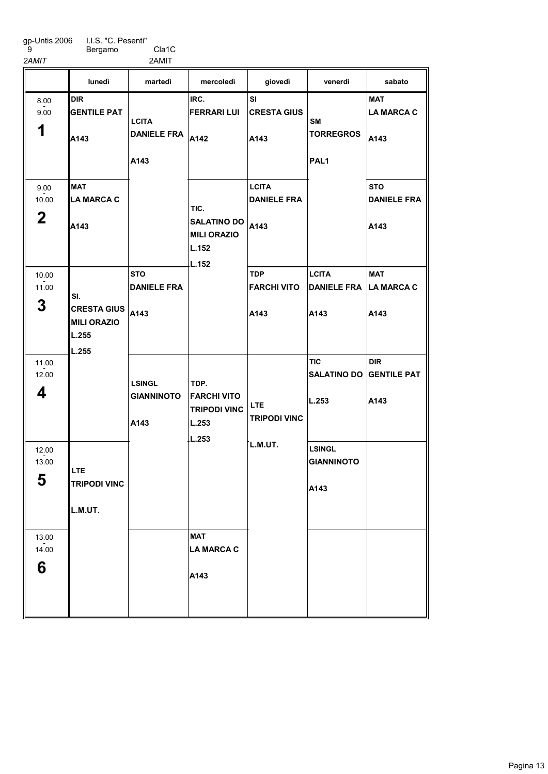Bergamo Cla1C 2AMIT 2AMIT

DIR GENTILE PAT A<sub>143</sub> MAT LA MARCA C A<sub>143</sub> **STO** DANIELE FRA A143 IRC. FERRARI LUI DANIELE FRA  $A142$ MAT LA MARCA C A143 SI CRESTA GIUS A143 **LCITA** DANIELE FRA A143 TDP FARCHI VITO A143 **LCITA** DANIELE FRA LA MARCA C A143 **TIC** SALATINO DO GENTILE PAT L.253 LSINGL GIANNINOTO A143 **MAT** LA MARCA C A143 **STO** DANIELE FRA A143 MAT A143 DIR A143 lunedì martedì mercoledì giovedì venerdì sabato 1 8.00 - 9.00 2 9.00  $-2.00$ 3 10.00 - 11.00 4 11.00  $-2.00$ 5 12.00  $-2.00$ 6 13.00  $-2.00$ SI. CRESTA GIUS MILI ORAZIO L.255 L.255 LTE TRIPODI VINC L.M.UT. **LCITA** A143 LSINGL GIANNINOTO A143 TIC. SALATINO DO MILI ORAZIO L.152 L.152 TDP. FARCHI VITO TRIPODI VINC L.253 L.253 LTE TRIPODI VINC L.M.UT. SM **TORREGROS** PAL1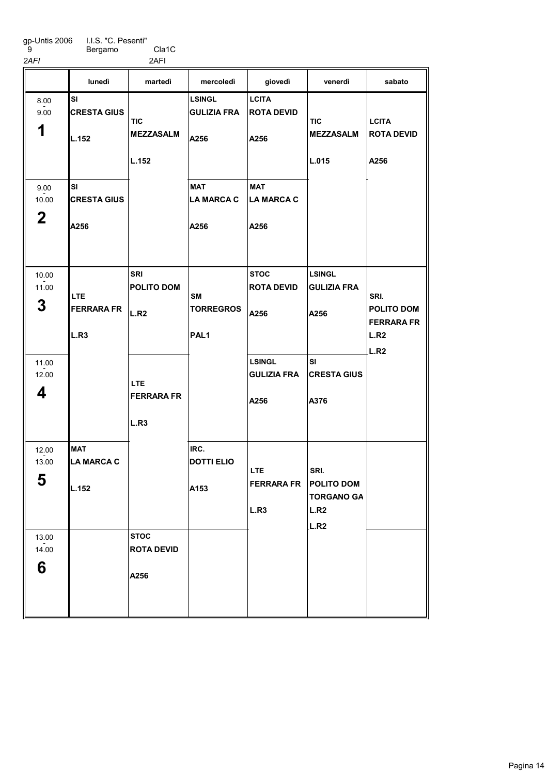gp-Untis 2006 9 I.I.S. "C. Pesenti" Bergamo Cla1C

2AFI 2AFI

|                                    | lunedì                                   | martedì                                  | mercoledì                                         | giovedì                                     | venerdì                                                        | sabato                                                         |
|------------------------------------|------------------------------------------|------------------------------------------|---------------------------------------------------|---------------------------------------------|----------------------------------------------------------------|----------------------------------------------------------------|
| 8.00<br>9.00<br>1                  | SI<br><b>CRESTA GIUS</b><br>L.152        | <b>TIC</b><br><b>MEZZASALM</b><br>L.152  | <b>LSINGL</b><br><b>GULIZIA FRA</b><br>A256       | <b>LCITA</b><br><b>ROTA DEVID</b><br>A256   | TIC<br><b>MEZZASALM</b><br>L.015                               | <b>LCITA</b><br><b>ROTA DEVID</b><br>A256                      |
| 9.00<br>10.00<br>$\mathbf 2$       | <b>SI</b><br><b>CRESTA GIUS</b><br>A256  |                                          | <b>MAT</b><br><b>LA MARCA C</b><br>A256           | <b>MAT</b><br>LA MARCA C<br>A256            |                                                                |                                                                |
| 10.00<br>11.00<br>3                | <b>LTE</b><br><b>FERRARA FR</b><br>L.R3  | <b>SRI</b><br><b>POLITO DOM</b><br>L.R2  | <b>SM</b><br><b>TORREGROS</b><br>PAL <sub>1</sub> | <b>STOC</b><br><b>ROTA DEVID</b><br>A256    | <b>LSINGL</b><br><b>GULIZIA FRA</b><br>A256                    | SRI.<br><b>POLITO DOM</b><br><b>FERRARA FR</b><br>L.R2<br>L.R2 |
| 11.00<br>12.00<br>4                |                                          | <b>LTE</b><br><b>FERRARA FR</b><br>L.R3  |                                                   | <b>LSINGL</b><br><b>GULIZIA FRA</b><br>A256 | <b>SI</b><br><b>CRESTA GIUS</b><br>A376                        |                                                                |
| 12.00<br>13.00<br>┏<br>$\mathbf b$ | <b>MAT</b><br><b>LA MARCA C</b><br>L.152 |                                          | IRC.<br><b>DOTTI ELIO</b><br>A153                 | <b>LTE</b><br><b>FERRARA FR</b><br>L.R3     | SRI.<br><b>POLITO DOM</b><br><b>TORGANO GA</b><br>L.R2<br>L.R2 |                                                                |
| 13.00<br>14.00<br>6                |                                          | <b>STOC</b><br><b>ROTA DEVID</b><br>A256 |                                                   |                                             |                                                                |                                                                |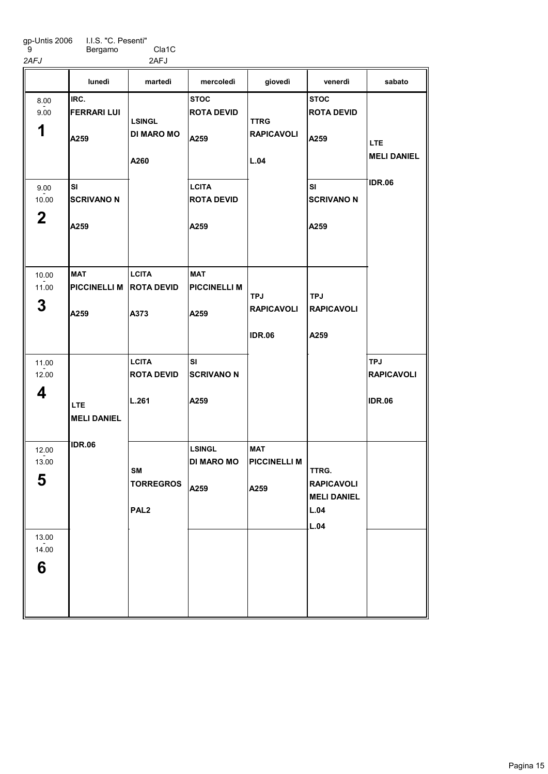Bergamo Cla1C g<br>
2AFJ Bergamo Cla1C<br>
2AFJ 2AFJ

|                                            | lunedì                                        | martedì                                    | mercoledì                                  | giovedì                                          | venerdì                                                          | sabato                                           |
|--------------------------------------------|-----------------------------------------------|--------------------------------------------|--------------------------------------------|--------------------------------------------------|------------------------------------------------------------------|--------------------------------------------------|
| 8.00<br>9.00<br>1                          | IRC.<br><b>FERRARI LUI</b><br>A259            | <b>LSINGL</b><br><b>DI MARO MO</b><br>A260 | <b>STOC</b><br><b>ROTA DEVID</b><br>A259   | <b>TTRG</b><br><b>RAPICAVOLI</b><br>L.04         | <b>STOC</b><br><b>ROTA DEVID</b><br>A259                         | <b>LTE</b><br><b>MELI DANIEL</b>                 |
| 9.00<br>10.00<br>$\mathbf 2$               | SI<br><b>SCRIVANO N</b><br>A259               |                                            | <b>LCITA</b><br><b>ROTA DEVID</b><br>A259  |                                                  | SI<br><b>SCRIVANO N</b><br>A259                                  | IDR.06                                           |
| 10.00<br>11.00<br>3                        | <b>MAT</b><br>PICCINELLI M ROTA DEVID<br>A259 | <b>LCITA</b><br>A373                       | <b>MAT</b><br><b>PICCINELLI M</b><br>A259  | <b>TPJ</b><br><b>RAPICAVOLI</b><br><b>IDR.06</b> | <b>TPJ</b><br><b>RAPICAVOLI</b><br>A259                          |                                                  |
| 11.00<br>12.00<br>4                        | LTE.<br><b>MELI DANIEL</b>                    | <b>LCITA</b><br><b>ROTA DEVID</b><br>L.261 | <b>SI</b><br><b>SCRIVANO N</b><br>A259     |                                                  |                                                                  | <b>TPJ</b><br><b>RAPICAVOLI</b><br><b>IDR.06</b> |
| 12.00<br>13.00<br>5<br>13.00<br>14.00<br>6 | IDR.06                                        | SM<br><b>TORREGROS</b><br>PAL <sub>2</sub> | <b>LSINGL</b><br><b>DI MARO MO</b><br>A259 | <b>MAT</b><br><b>PICCINELLI M</b><br>A259        | TTRG.<br><b>RAPICAVOLI</b><br><b>MELI DANIEL</b><br>L.04<br>L.04 |                                                  |
|                                            |                                               |                                            |                                            |                                                  |                                                                  |                                                  |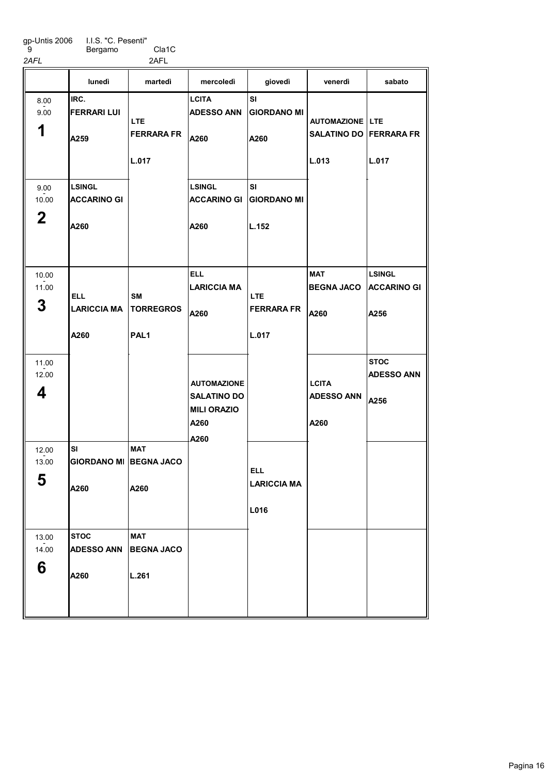Bergamo Cla1C 2AFL 2AFL

|                              | lunedì                                      | martedì                                           | mercoledì                                                                      | giovedì                                  | venerdì                                                            | sabato                                      |
|------------------------------|---------------------------------------------|---------------------------------------------------|--------------------------------------------------------------------------------|------------------------------------------|--------------------------------------------------------------------|---------------------------------------------|
| 8.00<br>9.00<br>1            | IRC.<br><b>FERRARI LUI</b><br>A259          | LTE.<br><b>FERRARA FR</b><br>L.017                | <b>LCITA</b><br><b>ADESSO ANN</b><br>A260                                      | SI<br><b>GIORDANO MI</b><br>A260         | <b>AUTOMAZIONE   LTE</b><br><b>SALATINO DO FERRARA FR</b><br>L.013 | L.017                                       |
| 9.00<br>10.00<br>$\mathbf 2$ | <b>LSINGL</b><br><b>ACCARINO GI</b><br>A260 |                                                   | <b>LSINGL</b><br><b>ACCARINO GI</b><br>A260                                    | SI<br><b>GIORDANO MI</b><br>L.152        |                                                                    |                                             |
| 10.00<br>11.00<br>3          | <b>ELL</b><br><b>LARICCIA MA</b><br>A260    | <b>SM</b><br><b>TORREGROS</b><br>PAL <sub>1</sub> | <b>ELL</b><br><b>LARICCIA MA</b><br>A260                                       | <b>LTE</b><br><b>FERRARA FR</b><br>L.017 | MAT<br><b>BEGNA JACO</b><br>A260                                   | <b>LSINGL</b><br><b>ACCARINO GI</b><br>A256 |
| 11.00<br>12.00<br>4          |                                             |                                                   | <b>AUTOMAZIONE</b><br><b>SALATINO DO</b><br><b>MILI ORAZIO</b><br>A260<br>A260 |                                          | <b>LCITA</b><br><b>ADESSO ANN</b><br>A260                          | <b>STOC</b><br><b>ADESSO ANN</b><br>A256    |
| 12.00<br>13.00<br>5          | <b>SI</b><br><b>GIORDANO MI</b><br>A260     | <b>MAT</b><br><b>BEGNA JACO</b><br>A260           |                                                                                | <b>ELL</b><br><b>LARICCIA MA</b><br>L016 |                                                                    |                                             |
| 13.00<br>14.00<br>6          | <b>STOC</b><br><b>ADESSO ANN</b><br>A260    | <b>MAT</b><br><b>BEGNA JACO</b><br>L.261          |                                                                                |                                          |                                                                    |                                             |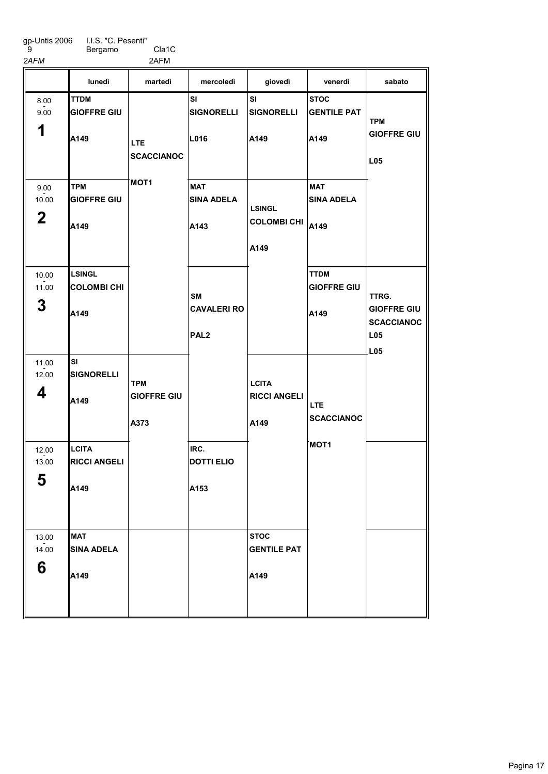Bergamo Cla1C 2AFM 2AFM

TTDM GIOFFRE GIU A<sub>149</sub> TPM GIOFFRE GIU A149 LSINGL COLOMBI CHI A149 SI SIGNORELLI A149 **LCITA** RICCI ANGELI A149 MAT SINA ADELA A149 SI SIGNORELLI L016 MAT SINA ADELA A143 IRC. DOTTI ELIO  $|A153$ SI SIGNORELLI A149 **STOC** GENTILE PAT A149 **STOC** GENTILE PAT A149 MAT SINA ADELA COLOMBI CHI A149 TTDM GIOFFRE GIU A149 lunedì martedì mercoledì giovedì venerdì sabato 1 8.00 - 9.00 2 9.00  $-2.00$ 3 10.00 - 11.00 4 11.00  $-2.00$ 5 12.00  $-2.00$ 6 13.00  $-2.00$ LTE **SCACCIANOC** MOT<sub>1</sub> TPM GIOFFRE GIU A373 SM CAVALERI RO PAL2 LSINGL A149 **LCITA** RICCI ANGELI A149 LTE **SCACCIANOC** MOT1 TPM GIOFFRE GIU L05 TTRG. GIOFFRE GIU **SCACCIANOC** L05 L05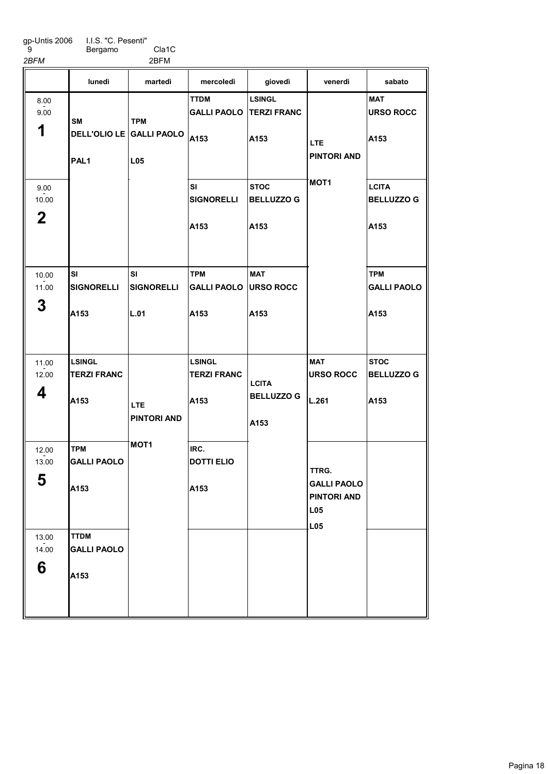Bergamo Cla1C 2BFM 2BFM

|                | lunedì                           | martedì                  | mercoledì                              | giovedì                             | venerdì                                                         | sabato                            |
|----------------|----------------------------------|--------------------------|----------------------------------------|-------------------------------------|-----------------------------------------------------------------|-----------------------------------|
| 8.00<br>9.00   | SΜ                               | <b>TPM</b>               | <b>TTDM</b><br><b>GALLI PAOLO</b>      | <b>LSINGL</b><br><b>TERZI FRANC</b> |                                                                 | <b>MAT</b><br><b>URSO ROCC</b>    |
| 1              |                                  | DELL'OLIO LE GALLI PAOLO | A153                                   | A153                                | LTE.<br><b>PINTORI AND</b>                                      | A153                              |
|                | PAL <sub>1</sub>                 | <b>L05</b>               |                                        |                                     |                                                                 |                                   |
| 9.00<br>10.00  |                                  |                          | SI<br><b>SIGNORELLI</b>                | <b>STOC</b><br><b>BELLUZZO G</b>    | MOT <sub>1</sub>                                                | <b>LCITA</b><br><b>BELLUZZO G</b> |
| $\mathbf 2$    |                                  |                          | A153                                   | A153                                |                                                                 | A153                              |
| 10.00<br>11.00 | SI<br><b>SIGNORELLI</b>          | SI<br><b>SIGNORELLI</b>  | <b>TPM</b><br><b>GALLI PAOLO</b>       | <b>MAT</b><br><b>URSO ROCC</b>      |                                                                 | <b>TPM</b><br><b>GALLI PAOLO</b>  |
| 3              | A153                             | L.01                     | A153                                   | A153                                |                                                                 | A153                              |
| 11.00          | <b>LSINGL</b>                    |                          | <b>LSINGL</b>                          |                                     | <b>MAT</b>                                                      | <b>STOC</b>                       |
| 12.00<br>4     | <b>TERZI FRANC</b><br>A153       | <b>LTE</b>               | <b>TERZI FRANC</b><br>A <sub>153</sub> | <b>LCITA</b><br><b>BELLUZZO G</b>   | <b>URSO ROCC</b><br>L.261                                       | <b>BELLUZZO G</b><br>A153         |
|                |                                  | <b>PINTORI AND</b>       |                                        | A153                                |                                                                 |                                   |
| 12.00<br>13.00 | <b>TPM</b><br><b>GALLI PAOLO</b> | <b>MOT1</b>              | IRC.<br><b>DOTTI ELIO</b>              |                                     |                                                                 |                                   |
| E<br>ა         | A153                             |                          | A153                                   |                                     | TTRG.<br><b>GALLI PAOLO</b><br><b>PINTORI AND</b><br><b>L05</b> |                                   |
| 13.00          | <b>TTDM</b>                      |                          |                                        |                                     | <b>L05</b>                                                      |                                   |
| 14.00          | <b>GALLI PAOLO</b>               |                          |                                        |                                     |                                                                 |                                   |
| 6              | A153                             |                          |                                        |                                     |                                                                 |                                   |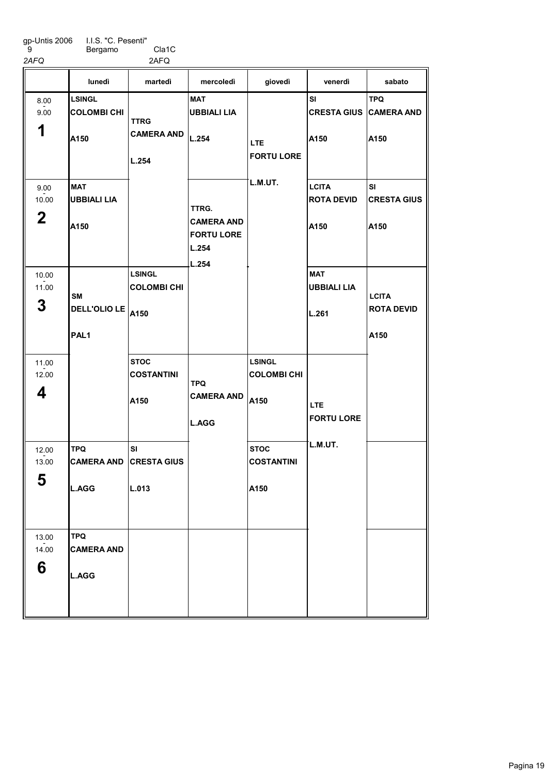gp-Untis 2006 9 I.I.S. "C. Pesenti" Bergamo Cla1C

2AFQ 2AFQ

|                              | lunedì                                          | martedì                                     | mercoledì                                                         | giovedì                                     | venerdì                                     | sabato                                    |
|------------------------------|-------------------------------------------------|---------------------------------------------|-------------------------------------------------------------------|---------------------------------------------|---------------------------------------------|-------------------------------------------|
| 8.00<br>9.00<br>1            | <b>LSINGL</b><br><b>COLOMBI CHI</b><br>A150     | <b>TTRG</b><br><b>CAMERA AND</b><br>L.254   | <b>MAT</b><br><b>UBBIALI LIA</b><br>L.254                         | <b>LTE</b><br><b>FORTU LORE</b>             | SI<br><b>CRESTA GIUS CAMERA AND</b><br>A150 | <b>TPQ</b><br>A150                        |
| 9.00<br>10.00<br>$\mathbf 2$ | <b>MAT</b><br><b>UBBIALI LIA</b><br>IA150       |                                             | TTRG.<br><b>CAMERA AND</b><br><b>FORTU LORE</b><br>L.254<br>L.254 | L.M.UT.                                     | <b>LCITA</b><br><b>ROTA DEVID</b><br>A150   | SI<br><b>CRESTA GIUS</b><br>A150          |
| 10.00<br>11.00<br>3          | <b>SM</b><br>DELL'OLIO LE<br>PAL <sub>1</sub>   | <b>LSINGL</b><br><b>COLOMBI CHI</b><br>A150 |                                                                   |                                             | <b>MAT</b><br><b>UBBIALI LIA</b><br>L.261   | <b>LCITA</b><br><b>ROTA DEVID</b><br>A150 |
| 11.00<br>12.00<br>4          |                                                 | <b>STOC</b><br><b>COSTANTINI</b><br>A150    | <b>TPQ</b><br><b>CAMERA AND</b><br>L.AGG                          | <b>LSINGL</b><br><b>COLOMBI CHI</b><br>A150 | <b>LTE</b><br><b>FORTU LORE</b>             |                                           |
| 12.00<br>13.00<br>5          | <b>TPQ</b><br><b>CAMERA AND</b><br>L.AGG        | SI<br><b>CRESTA GIUS</b><br>L.013           |                                                                   | <b>STOC</b><br><b>COSTANTINI</b><br>A150    | L.M.UT.                                     |                                           |
| 13.00<br>14.00<br>6          | <b>TPQ</b><br><b>CAMERA AND</b><br><b>L.AGG</b> |                                             |                                                                   |                                             |                                             |                                           |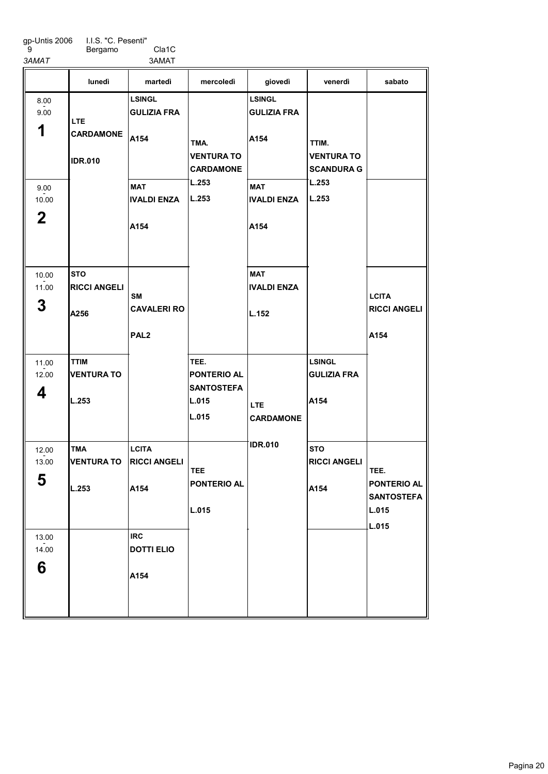| gp-Untis 2006 | I.I.S. |
|---------------|--------|
| 9             | Berg   |

"C. Pesenti" Bergamo Cla1C

3AMAT 3AMAT

|             |                     | ~~ ·······          |                                       |                    |                                        |                     |
|-------------|---------------------|---------------------|---------------------------------------|--------------------|----------------------------------------|---------------------|
|             | lunedì              | martedì             | mercoledì                             | giovedì            | venerdì                                | sabato              |
| 8.00        |                     | <b>LSINGL</b>       |                                       | <b>LSINGL</b>      |                                        |                     |
| 9.00        | <b>LTE</b>          | <b>GULIZIA FRA</b>  |                                       | <b>GULIZIA FRA</b> |                                        |                     |
| 1           | <b>CARDAMONE</b>    | A154                | TMA.                                  | A154               | TTIM.                                  |                     |
|             | <b>IDR.010</b>      |                     | <b>VENTURA TO</b><br><b>CARDAMONE</b> |                    | <b>VENTURA TO</b><br><b>SCANDURA G</b> |                     |
| 9.00        |                     | <b>MAT</b>          | L.253                                 | <b>MAT</b>         | L.253                                  |                     |
| 10.00       |                     | <b>IVALDI ENZA</b>  | L.253                                 | <b>IVALDI ENZA</b> | L.253                                  |                     |
| $\mathbf 2$ |                     | A154                |                                       | A154               |                                        |                     |
| 10.00       | <b>STO</b>          |                     |                                       | <b>MAT</b>         |                                        |                     |
| 11.00       | <b>RICCI ANGELI</b> |                     |                                       | <b>IVALDI ENZA</b> |                                        |                     |
| 3           |                     | SM                  |                                       |                    |                                        | <b>LCITA</b>        |
|             | A256                | <b>CAVALERI RO</b>  |                                       | L.152              |                                        | <b>RICCI ANGELI</b> |
|             |                     | PAL <sub>2</sub>    |                                       |                    |                                        | A154                |
| 11.00       | <b>TTIM</b>         |                     | TEE.                                  |                    | <b>LSINGL</b>                          |                     |
| 12.00       | <b>VENTURA TO</b>   |                     | <b>PONTERIO AL</b>                    |                    | <b>GULIZIA FRA</b>                     |                     |
| 4           |                     |                     | <b>SANTOSTEFA</b>                     |                    |                                        |                     |
|             | L.253               |                     | L.015                                 | <b>LTE</b>         | A154                                   |                     |
|             |                     |                     | L.015                                 | <b>CARDAMONE</b>   |                                        |                     |
| 12.00       | TMA                 | <b>LCITA</b>        |                                       | <b>IDR.010</b>     | <b>STO</b>                             |                     |
| 13.00       | <b>VENTURA TO</b>   | <b>RICCI ANGELI</b> |                                       |                    | <b>RICCI ANGELI</b>                    |                     |
| 5           |                     |                     | <b>TEE</b><br><b>PONTERIO AL</b>      |                    |                                        | TEE.<br>PONTERIO AL |
|             | L.253               | A154                |                                       |                    | A154                                   | <b>SANTOSTEFA</b>   |
|             |                     |                     | L.015                                 |                    |                                        | L.015               |
|             |                     |                     |                                       |                    |                                        | L.015               |
| 13.00       |                     | <b>IRC</b>          |                                       |                    |                                        |                     |
| 14.00       |                     | <b>DOTTI ELIO</b>   |                                       |                    |                                        |                     |
| 6           |                     | A154                |                                       |                    |                                        |                     |
|             |                     |                     |                                       |                    |                                        |                     |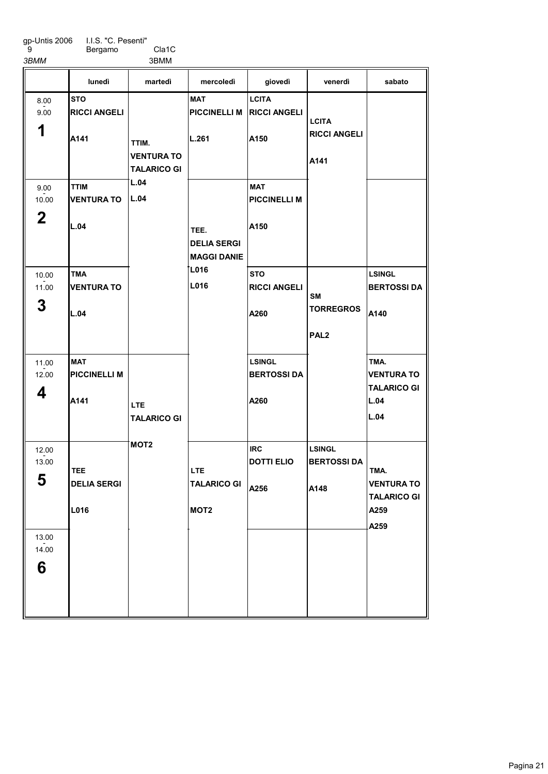I.I.S. "C. Pesenti" Bergamo Cla1C

3BMM 3BMM

|                               | lunedì                                    | martedì                                         | mercoledì                                        | giovedì                                     | venerdì                                     | sabato                                          |
|-------------------------------|-------------------------------------------|-------------------------------------------------|--------------------------------------------------|---------------------------------------------|---------------------------------------------|-------------------------------------------------|
| 8.00<br>9.00<br>1             | <b>STO</b><br><b>RICCI ANGELI</b><br>A141 | TTIM.                                           | <b>MAT</b><br><b>PICCINELLI M</b><br>L.261       | <b>LCITA</b><br><b>RICCI ANGELI</b><br>A150 | <b>LCITA</b><br><b>RICCI ANGELI</b>         |                                                 |
|                               |                                           | <b>VENTURA TO</b><br><b>TALARICO GI</b><br>L.04 |                                                  |                                             | A141                                        |                                                 |
| 9.00<br>10.00<br>$\mathbf{2}$ | <b>TTIM</b><br><b>VENTURA TO</b>          | L.04                                            |                                                  | <b>MAT</b><br><b>PICCINELLI M</b>           |                                             |                                                 |
|                               | L.04                                      |                                                 | TEE.<br><b>DELIA SERGI</b><br><b>MAGGI DANIE</b> | A150                                        |                                             |                                                 |
| 10.00<br>11.00                | <b>TMA</b><br><b>VENTURA TO</b>           |                                                 | L016<br>L016                                     | <b>STO</b><br><b>RICCI ANGELI</b>           | <b>SM</b>                                   | <b>LSINGL</b><br><b>BERTOSSI DA</b>             |
| 3                             | L.04                                      |                                                 |                                                  | A260                                        | <b>TORREGROS</b>                            | A140                                            |
|                               |                                           |                                                 |                                                  |                                             | PAL <sub>2</sub>                            |                                                 |
| 11.00<br>12.00                | <b>MAT</b><br><b>PICCINELLI M</b>         |                                                 |                                                  | <b>LSINGL</b><br><b>BERTOSSIDA</b>          |                                             | TMA.<br><b>VENTURA TO</b><br><b>TALARICO GI</b> |
| 4                             | A141                                      | <b>LTE</b><br><b>TALARICO GI</b>                |                                                  | A260                                        |                                             | L.04<br>L.04                                    |
| 12.00<br>13.00<br>5           | <b>TEE</b><br><b>DELIA SERGI</b>          | MOT <sub>2</sub>                                | <b>LTE</b><br><b>TALARICO GI</b>                 | <b>IRC</b><br><b>DOTTI ELIO</b><br>A256     | <b>LSINGL</b><br><b>BERTOSSI DA</b><br>A148 | TMA.<br><b>VENTURA TO</b>                       |
|                               | L016                                      |                                                 | MOT <sub>2</sub>                                 |                                             |                                             | <b>TALARICO GI</b><br>A259<br>A259              |
| 13.00<br>14.00<br>6           |                                           |                                                 |                                                  |                                             |                                             |                                                 |
|                               |                                           |                                                 |                                                  |                                             |                                             |                                                 |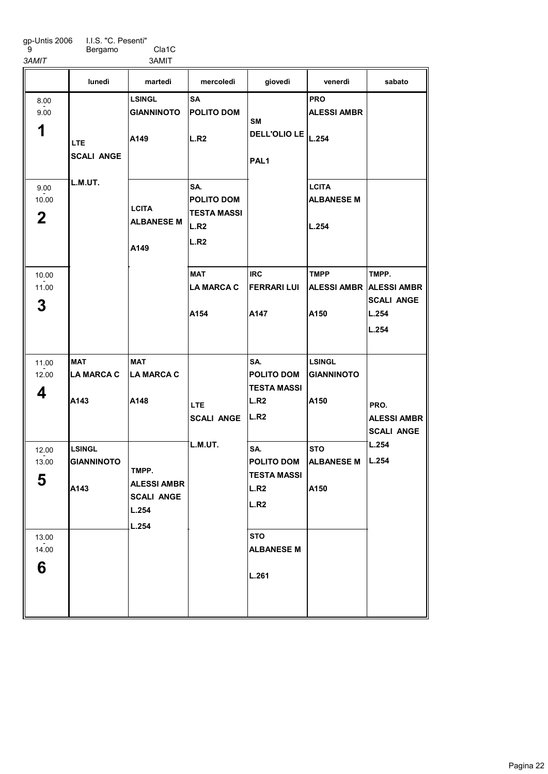Bergamo Cla1C 3AMIT 3AMIT

MAT LA MARCA C A<sub>143</sub> LSINGL GIANNINOTO A143 LSINGL GIANNINOTO A149 MAT LA MARCA C A148 **SA** POLITO DOM L.R<sub>2</sub> SA. POLITO DOM TESTA MASSI  $\vert$ L.R2 L.R<sub>2</sub> MAT LA MARCA C A154 IRC FERRARI LUI A147 SA. POLITO DOM TESTA MASSI L.R<sub>2</sub> L.R<sub>2</sub> SA. POLITO DOM TESTA MASSI L.R<sub>2</sub> L.R<sub>2</sub> **STO** ALBANESE M L.261 PRO ALESSI AMBR L.254 **LCITA** ALBANESE M L.254 TMPP ALESSI AMBR ALESSI AMBR A150 LSINGL GIANNINOTO A150 **STO** ALBANESE M A150 TMPP. **SCALI ANGE** L.254 L.254 lunedì martedì mercoledì giovedì venerdì sabato 1 8.00 - 9.00 2 9.00  $-2.00$ 3 10.00 - 11.00 4 11.00  $-2.00$ 5 12.00  $-2.00$ 6 13.00  $-2.00$ LTE SCALI ANGE L.M.UT. **LCITA** ALBANESE M A149 TMPP. ALESSI AMBR SCALI ANGE L.254 L.254 LTE SCALI ANGE L.M.UT. SM DELL'OLIO LE PAL1 PRO. ALESSI AMBR SCALI ANGE L.254 L.254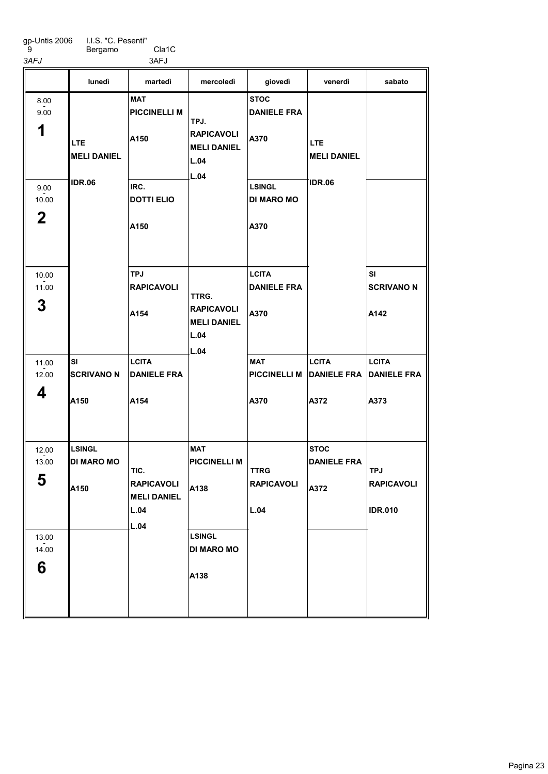Bergamo Cla1C

3AFJ 3AFJ SI SCRIVANO N A150 LSINGL DI MARO MO A<sub>150</sub> **MAT** PICCINELLI M A150 IRC. DOTTI ELIO A150 TPJ RAPICAVOLI A154 **LCITA** DANIELE FRA A154 **MAT** PICCINELLI M A138 LSINGL DI MARO MO A138 **STOC** DANIELE FRA A370 LSINGL DI MARO MO A370 **LCITA** DANIELE FRA A370 MAT PICCINELLI M DANIELE FRA DANIELE FRA A370 **LCITA** A372 **STOC** DANIELE FRA A372 SI SCRIVANO N A142 **LCITA** A373 lunedì martedì mercoledì giovedì venerdì sabato 1 8.00 - 9.00 2 9.00  $-2.00$ 3 10.00 - 11.00 4 11.00  $-2.00$ 5 12.00  $-2.00$ 6 13.00  $-2.00$ LTE MELI DANIEL IDR.06 TIC. RAPICAVOLI MELI DANIEL L.04 L.04 TPJ. RAPICAVOLI MELI DANIEL L.04 L.04 TTRG. RAPICAVOLI MELI DANIEL L.04 L.04 TTRG RAPICAVOLI L.04 LTE MELI DANIEL IDR.06 TPJ RAPICAVOLI IDR.010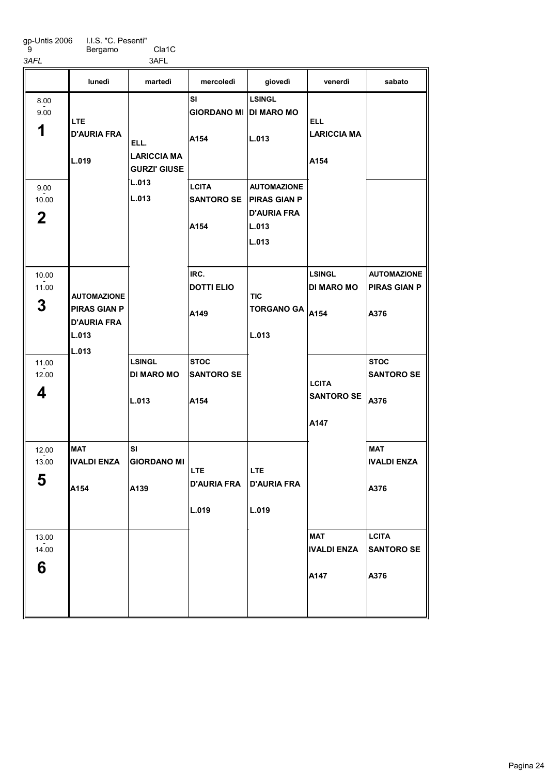gp-Untis 2006 9 I.I.S. "C. Pesenti" 3<br>
9
Bergamo<br>
3AFL 3AFL 3AFL

Bergamo Cla1C

|                               | lunedì                                                                            | martedì                                           | mercoledì                                   | giovedì                                                                           | venerdì                                    | sabato                                            |
|-------------------------------|-----------------------------------------------------------------------------------|---------------------------------------------------|---------------------------------------------|-----------------------------------------------------------------------------------|--------------------------------------------|---------------------------------------------------|
| 8.00<br>9.00<br>1             | <b>LTE</b><br><b>D'AURIA FRA</b><br>L.019                                         | ELL.<br><b>LARICCIA MA</b><br><b>GURZI' GIUSE</b> | SI<br><b>GIORDANO MI DI MARO MO</b><br>A154 | <b>LSINGL</b><br>L.013                                                            | <b>ELL</b><br><b>LARICCIA MA</b><br>A154   |                                                   |
| 9.00<br>10.00<br>$\mathbf{2}$ |                                                                                   | L.013<br>L.013                                    | <b>LCITA</b><br><b>SANTORO SE</b><br>A154   | <b>AUTOMAZIONE</b><br><b>PIRAS GIAN P</b><br><b>D'AURIA FRA</b><br>L.013<br>L.013 |                                            |                                                   |
| 10.00<br>11.00<br>3           | <b>AUTOMAZIONE</b><br><b>PIRAS GIAN P</b><br><b>D'AURIA FRA</b><br>L.013<br>L.013 |                                                   | IRC.<br><b>DOTTI ELIO</b><br>A149           | <b>TIC</b><br><b>TORGANO GA</b><br>L.013                                          | <b>LSINGL</b><br><b>DI MARO MO</b><br>A154 | <b>AUTOMAZIONE</b><br><b>PIRAS GIAN P</b><br>A376 |
| 11.00<br>12.00<br>4           |                                                                                   | <b>LSINGL</b><br><b>DI MARO MO</b><br>L.013       | <b>STOC</b><br><b>SANTORO SE</b><br>A154    |                                                                                   | <b>LCITA</b><br><b>SANTORO SE</b><br>A147  | <b>STOC</b><br><b>SANTORO SE</b><br>A376          |
| 12.00<br>13.00<br>E<br>უ      | <b>MAT</b><br>IIVALDI ENZA<br>A154                                                | <b>SI</b><br><b>GIORDANO MI</b><br>A139           | <b>LTE</b><br><b>D'AURIA FRA</b><br>L.019   | <b>LTE</b><br><b>D'AURIA FRA</b><br>L.019                                         |                                            | <b>MAT</b><br><b>IVALDI ENZA</b><br>A376          |
| 13.00<br>14.00<br>6           |                                                                                   |                                                   |                                             |                                                                                   | <b>MAT</b><br><b>IVALDI ENZA</b><br>A147   | <b>LCITA</b><br><b>SANTORO SE</b><br>A376         |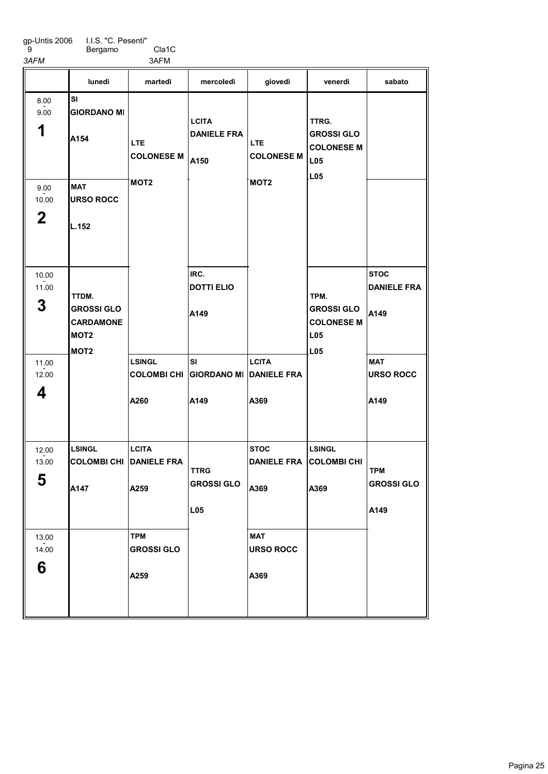I.I.S. "C. Pesenti" Bergamo Cla1C

 9 3AFM 3AFM

|                           | lunedì                                                                                 | martedì                                             | mercoledì                                           | giovedì                                             | venerdì                                                       | sabato                                    |
|---------------------------|----------------------------------------------------------------------------------------|-----------------------------------------------------|-----------------------------------------------------|-----------------------------------------------------|---------------------------------------------------------------|-------------------------------------------|
| 8.00<br>9.00<br>1<br>9.00 | <b>SI</b><br><b>GIORDANO MI</b><br>A154<br><b>MAT</b>                                  | <b>LTE</b><br><b>COLONESE M</b><br>MOT <sub>2</sub> | <b>LCITA</b><br><b>DANIELE FRA</b><br>A150          | <b>LTE</b><br><b>COLONESE M</b><br>MOT <sub>2</sub> | TTRG.<br><b>GROSSI GLO</b><br><b>COLONESE M</b><br>L05<br>L05 |                                           |
| 10.00<br>2                | <b>URSO ROCC</b><br>L.152                                                              |                                                     |                                                     |                                                     |                                                               |                                           |
| 10.00<br>11.00<br>3       | TTDM.<br><b>GROSSI GLO</b><br><b>CARDAMONE</b><br>MOT <sub>2</sub><br>MOT <sub>2</sub> |                                                     | IRC.<br><b>DOTTI ELIO</b><br>A149                   |                                                     | TPM.<br><b>GROSSI GLO</b><br><b>COLONESE M</b><br>L05<br>L05  | <b>STOC</b><br><b>DANIELE FRA</b><br>A149 |
| 11.00<br>12.00<br>4       |                                                                                        | <b>LSINGL</b><br><b>COLOMBI CHI</b><br>A260         | <b>SI</b><br><b>GIORDANO MI DANIELE FRA</b><br>A149 | <b>LCITA</b><br>A369                                |                                                               | <b>MAT</b><br><b>URSO ROCC</b><br>A149    |
| 12.00<br>13.00<br>E<br>Ð  | LSINGL<br><b>COLOMBI CHI</b><br>A147                                                   | <b>LCITA</b><br><b>DANIELE FRA</b><br>A259          | <b>TTRG</b><br><b>GROSSI GLO</b><br>L05             | <b>STOC</b><br><b>DANIELE FRA</b><br>A369           | <b>LSINGL</b><br><b>COLOMBI CHI</b><br>A369                   | <b>TPM</b><br><b>GROSSI GLO</b><br>A149   |
| 13.00<br>14.00<br>6       |                                                                                        | <b>TPM</b><br><b>GROSSI GLO</b><br>A259             |                                                     | <b>MAT</b><br><b>URSO ROCC</b><br>A369              |                                                               |                                           |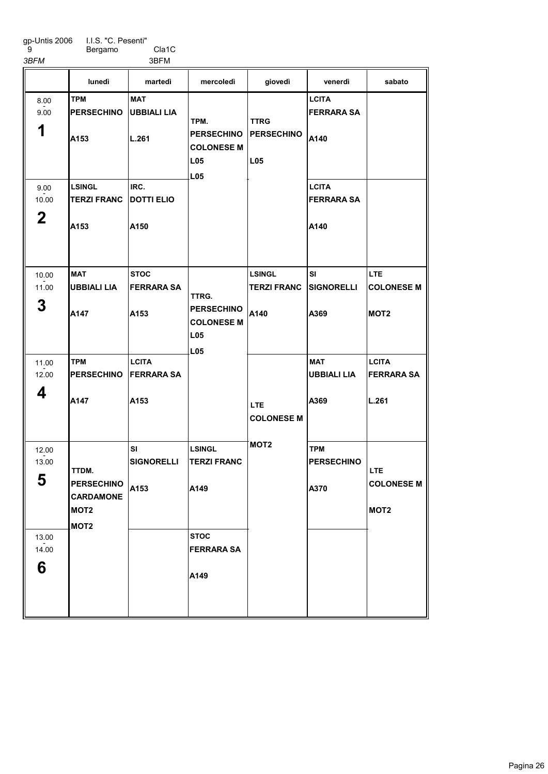I.I.S. "C. Pesenti" Bergamo Cla1C

 9 3BFM 3BFM

1

8.00 - 9.00

| lunedì             | martedì           | mercoledì         | giovedì           | venerdì            | sabato |
|--------------------|-------------------|-------------------|-------------------|--------------------|--------|
| <b>TPM</b>         | <b>MAT</b>        |                   |                   | <b>LCITA</b>       |        |
| <b>PERSECHINO</b>  | UBBIALI LIA       |                   |                   | <b>FERRARA SA</b>  |        |
|                    |                   | TPM.              | <b>TTRG</b>       |                    |        |
| <b>A153</b>        | L.261             | <b>PERSECHINO</b> | <b>PERSECHINO</b> | A140               |        |
|                    |                   | <b>COLONESE M</b> |                   |                    |        |
|                    |                   | L <sub>05</sub>   | L <sub>05</sub>   |                    |        |
|                    |                   | L <sub>05</sub>   |                   |                    |        |
| <b>LSINGL</b>      | IRC.              |                   |                   | <b>LCITA</b>       |        |
| <b>TERZI FRANC</b> | <b>DOTTI ELIO</b> |                   |                   | <b>IFERRARA SA</b> |        |

| 9.00<br>10.00       | <b>LSINGL</b><br><b>TERZI FRANC</b>                                                    | IRC.<br><b>DOTTI ELIO</b>                 |                                                                             |                                             | <b>LCITA</b><br><b>FERRARA SA</b>        |                                                     |
|---------------------|----------------------------------------------------------------------------------------|-------------------------------------------|-----------------------------------------------------------------------------|---------------------------------------------|------------------------------------------|-----------------------------------------------------|
| $\mathbf 2$         | A153                                                                                   | A150                                      |                                                                             |                                             | A140                                     |                                                     |
| 10.00<br>11.00<br>3 | <b>MAT</b><br><b>UBBIALI LIA</b><br>A147                                               | <b>STOC</b><br><b>FERRARA SA</b><br>A153  | TTRG.<br><b>PERSECHINO</b><br><b>COLONESE M</b><br><b>L05</b><br><b>L05</b> | <b>LSINGL</b><br><b>TERZI FRANC</b><br>A140 | <b>SI</b><br>SIGNORELLI<br>A369          | <b>LTE</b><br><b>COLONESE M</b><br>MOT <sub>2</sub> |
| 11.00<br>12.00<br>4 | <b>TPM</b><br><b>PERSECHINO</b><br>A147                                                | <b>LCITA</b><br><b>FERRARA SA</b><br>A153 |                                                                             | <b>LTE</b><br><b>COLONESE M</b>             | <b>MAT</b><br><b>UBBIALI LIA</b><br>A369 | <b>LCITA</b><br><b>FERRARA SA</b><br>L.261          |
| 12.00<br>13.00<br>5 | TTDM.<br><b>PERSECHINO</b><br><b>CARDAMONE</b><br>MOT <sub>2</sub><br>MOT <sub>2</sub> | SI<br><b>SIGNORELLI</b><br>A153           | <b>LSINGL</b><br><b>TERZI FRANC</b><br>A149                                 | MOT <sub>2</sub>                            | <b>TPM</b><br><b>PERSECHINO</b><br>A370  | <b>LTE</b><br><b>COLONESE M</b><br>MOT <sub>2</sub> |
| 13.00<br>14.00<br>6 |                                                                                        |                                           | <b>STOC</b><br><b>FERRARA SA</b><br>A149                                    |                                             |                                          |                                                     |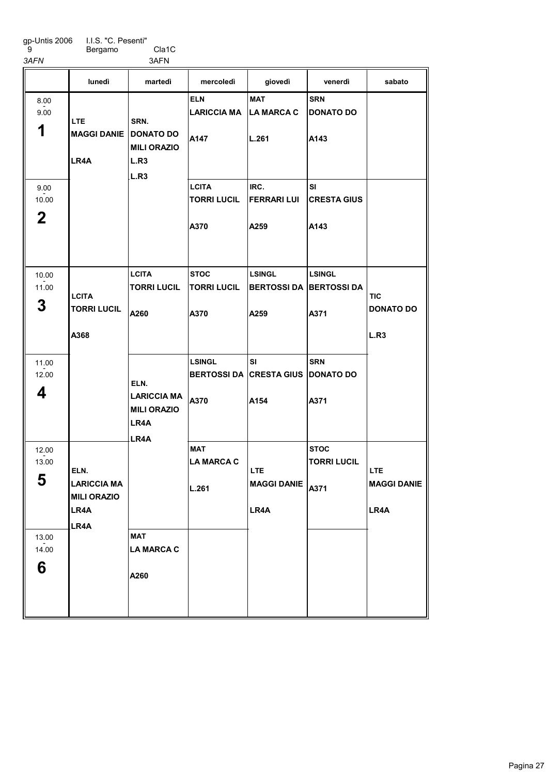gp-Untis 2006 9 I.I.S. "C. Pesenti" 3<br>
9 Bergamo Cla1C<br>
3AFN 3AFN

Bergamo Cla1C

|                               | lunedì                                                   | martedì                                                            | mercoledì                                   | giovedì                                                 | venerdì                                 | sabato                                 |
|-------------------------------|----------------------------------------------------------|--------------------------------------------------------------------|---------------------------------------------|---------------------------------------------------------|-----------------------------------------|----------------------------------------|
| 8.00<br>9.00<br>1             | <b>LTE</b><br><b>MAGGI DANIE</b><br>LR4A                 | SRN.<br><b>DONATO DO</b><br><b>MILI ORAZIO</b><br>L.R <sub>3</sub> | <b>ELN</b><br><b>LARICCIA MA</b><br>A147    | <b>MAT</b><br><b>LA MARCA C</b><br>L.261                | <b>SRN</b><br><b>DONATO DO</b><br>A143  |                                        |
| 9.00<br>10.00<br>$\mathbf{2}$ |                                                          | L.R <sub>3</sub>                                                   | <b>LCITA</b><br><b>TORRI LUCIL</b><br>A370  | IRC.<br><b>FERRARI LUI</b><br>A259                      | <b>SI</b><br><b>CRESTA GIUS</b><br>A143 |                                        |
| 10.00<br>11.00<br>3           | <b>LCITA</b><br><b>TORRI LUCIL</b><br>A368               | <b>LCITA</b><br><b>TORRI LUCIL</b><br>A260                         | <b>STOC</b><br><b>TORRI LUCIL</b><br>A370   | <b>LSINGL</b><br><b>BERTOSSI DA BERTOSSI DA</b><br>A259 | <b>LSINGL</b><br>A371                   | <b>TIC</b><br><b>DONATO DO</b><br>L.R3 |
| 11.00<br>12.00<br>4           |                                                          | ELN.<br><b>LARICCIA MA</b><br><b>MILI ORAZIO</b><br>LR4A<br>LR4A   | <b>LSINGL</b><br><b>BERTOSSI DA</b><br>A370 | <b>SI</b><br><b>CRESTA GIUS DONATO DO</b><br>A154       | <b>SRN</b><br>A371                      |                                        |
| 12.00<br>13.00<br>E<br>ა      | ELN.<br><b>LARICCIA MA</b><br><b>MILI ORAZIO</b><br>LR4A |                                                                    | <b>MAT</b><br><b>LA MARCA C</b><br>L.261    | LTE.<br>MAGGI DANIE A371<br>LR4A                        | <b>STOC</b><br><b>TORRI LUCIL</b>       | LTE.<br><b>MAGGI DANIE</b><br>LR4A     |
| 13.00<br>14.00<br>6           | LR4A                                                     | <b>MAT</b><br><b>LA MARCA C</b><br>A260                            |                                             |                                                         |                                         |                                        |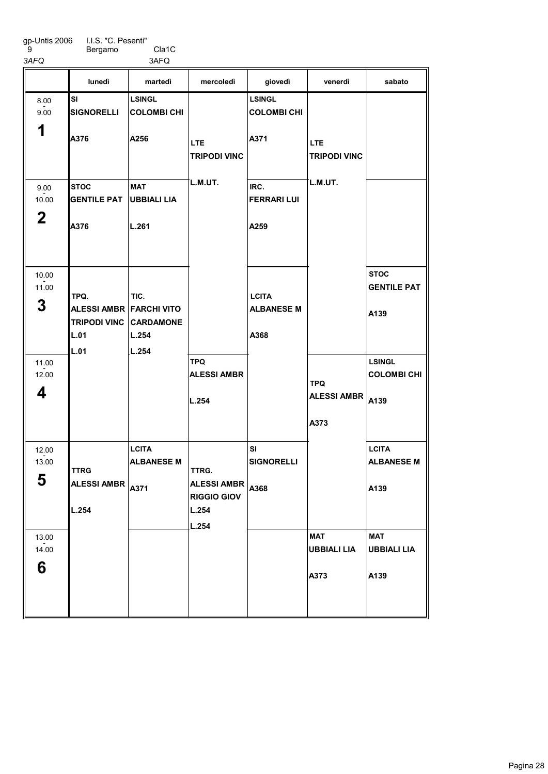I.I.S. "C. Pesenti" Bergamo Cla1C

ALESSI AMBR <sub>A371</sub>

L.254

5

6

13.00  $-2.00$ 

 9 3AFQ 3AFQ

|              | lunedì                                 | martedì            | mercoledì                         | giovedì                           | venerdì                           | sabato             |
|--------------|----------------------------------------|--------------------|-----------------------------------|-----------------------------------|-----------------------------------|--------------------|
| 8.00<br>9.00 | SI<br><b>SIGNORELLI</b>                | <b>LSINGL</b>      |                                   | <b>LSINGL</b>                     |                                   |                    |
|              |                                        | <b>COLOMBI CHI</b> |                                   | <b>COLOMBI CHI</b>                |                                   |                    |
| 1            | A376                                   | A256               | <b>LTE</b><br><b>TRIPODI VINC</b> | A371                              | <b>LTE</b><br><b>TRIPODI VINC</b> |                    |
| 9.00         | <b>STOC</b>                            | <b>MAT</b>         | L.M.UT.                           | IRC.                              | L.M.UT.                           |                    |
| 10.00        | <b>GENTILE PAT</b>                     | UBBIALI LIA        |                                   | <b>FERRARI LUI</b>                |                                   |                    |
| $\mathbf 2$  | A376                                   | L.261              |                                   | A259                              |                                   |                    |
| 10.00        |                                        |                    |                                   |                                   |                                   | <b>STOC</b>        |
| 11.00        |                                        |                    |                                   |                                   |                                   | <b>GENTILE PAT</b> |
| 3            | TPQ.<br><b>ALESSI AMBR FARCHI VITO</b> | TIC.               |                                   | <b>LCITA</b><br><b>ALBANESE M</b> |                                   |                    |
|              | <b>TRIPODI VINC CARDAMONE</b>          |                    |                                   |                                   |                                   | A139               |
|              | L.01                                   | L.254              |                                   | A368                              |                                   |                    |
|              | L.01                                   | L.254              |                                   |                                   |                                   |                    |
| 11.00        |                                        |                    | <b>TPQ</b>                        |                                   |                                   | <b>LSINGL</b>      |
| 12.00        |                                        |                    | <b>ALESSI AMBR</b>                |                                   | <b>TPQ</b>                        | <b>COLOMBICHI</b>  |
| 4            |                                        |                    |                                   |                                   | <b>ALESSI AMBR</b>                |                    |
|              |                                        |                    | L.254                             |                                   |                                   | A139               |
|              |                                        |                    |                                   |                                   | A373                              |                    |
| 12.00        |                                        | <b>LCITA</b>       |                                   | <b>SI</b>                         |                                   | <b>LCITA</b>       |
| 13.00        |                                        | <b>ALBANESE M</b>  |                                   | <b>SIGNORELLI</b>                 |                                   | <b>ALBANESE M</b>  |
|              | <b>TTRG</b>                            |                    | TTRG.                             |                                   |                                   |                    |

A368

ALESSI AMBR RIGGIO GIOV

L.254 L.254

**MAT** 

A373

UBBIALI LIA

A139

MAT

A139

UBBIALI LIA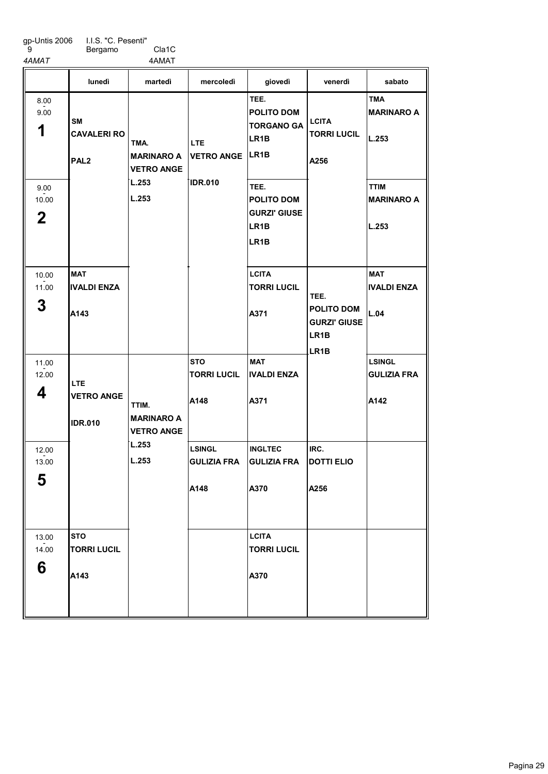9

Bergamo Cla1C

4AMAT 4AMAT MAT IVALDI ENZA A<sub>143</sub> **STO** TORRI LUCIL A143 **STO** TORRI LUCIL A148 LSINGL GULIZIA FRA A148 TEE. POLITO DOM TORGANO GA LR1B LR1B TEE. POLITO DOM GURZI' GIUSE LR1B LR1B **LCITA** TORRI LUCIL A371 MAT IVALDI ENZA A371 INGLTEC GULIZIA FRA A370 LCITA TORRI LUCIL A370 IRC. DOTTI ELIO A256 TMA MARINARO A L.253 TTIM MARINARO A L.253 MAT IVALDI ENZA L.04 LSINGL GULIZIA FRA A142 lunedì martedì mercoledì giovedì venerdì sabato 1 8.00 - 9.00 2 9.00  $-2.00$ 3 10.00 - 11.00 4 11.00  $-2.00$ 5 12.00  $-2.00$ 6 13.00  $-2.00$ SM CAVALERI RO PAL2 LTE VETRO ANGE IDR.010 TMA. MARINARO A VETRO ANGE L.253 L.253 TTIM. MARINARO A VETRO ANGE L.253 L.253 LTE VETRO ANGE IDR.010 **LCITA** TORRI LUCIL A256 TEE. POLITO DOM GURZI' GIUSE LR1B LR1B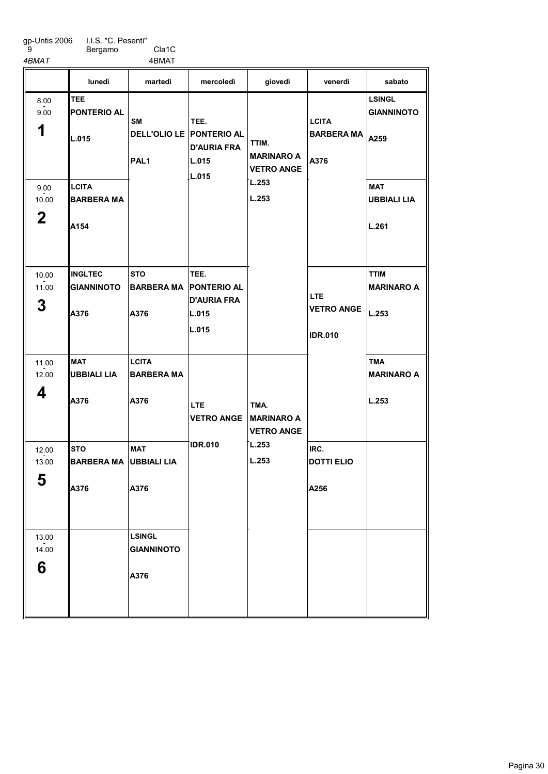I.I.S. "C. Pesenti" Bergamo Cla1C

A376

6

4BMAT 4BMAT

|                | lunedì              | martedì                                      | mercoledì                  | giovedì                                | venerdì                         | sabato                           |
|----------------|---------------------|----------------------------------------------|----------------------------|----------------------------------------|---------------------------------|----------------------------------|
| 8.00           | <b>TEE</b>          |                                              |                            |                                        |                                 | <b>LSINGL</b>                    |
| 9.00           | <b>IPONTERIO AL</b> |                                              |                            |                                        |                                 | <b>GIANNINOTO</b>                |
| 1              | IL.015              | <b>SM</b><br><b>DELL'OLIO LE PONTERIO AL</b> | TEE.<br><b>D'AURIA FRA</b> | TTIM.                                  | <b>LCITA</b><br>BARBERA MA A259 |                                  |
|                |                     | PAL <sub>1</sub>                             | L.015                      | <b>MARINARO A</b><br><b>VETRO ANGE</b> | A376                            |                                  |
| 9.00           | <b>LCITA</b>        |                                              | L.015                      | L.253                                  |                                 | <b>MAT</b>                       |
| 10.00          | <b>BARBERA MA</b>   |                                              |                            | L.253                                  |                                 | <b>UBBIALI LIA</b>               |
| $\mathbf 2$    | IA154               |                                              |                            |                                        |                                 | L.261                            |
|                |                     |                                              |                            |                                        |                                 |                                  |
| 10.00<br>11.00 | <b>INGLTEC</b>      | <b>STO</b>                                   | TEE.<br><b>PONTERIO AL</b> |                                        |                                 | <b>TTIM</b><br><b>MARINARO A</b> |
|                | <b>GIANNINOTO</b>   | <b>BARBERA MA</b>                            | <b>D'AURIA FRA</b>         |                                        | <b>LTE</b>                      |                                  |
| 3              | lA376               | A376                                         | L.015                      |                                        | <b>VETRO ANGE</b>               | L.253                            |
|                |                     |                                              | L.015                      |                                        | <b>IDR.010</b>                  |                                  |
| 11.00          | <b>IMAT</b>         | <b>LCITA</b>                                 |                            |                                        |                                 | <b>TMA</b>                       |
| 12.00          | UBBIALI LIA         | <b>BARBERA MA</b>                            |                            |                                        |                                 | <b>MARINARO A</b>                |
| 4              | A376                | A376                                         | <b>LTE</b>                 | TMA.                                   |                                 | L.253                            |
|                |                     |                                              | <b>VETRO ANGE</b>          | <b>MARINARO A</b>                      |                                 |                                  |
|                |                     |                                              |                            | <b>VETRO ANGE</b>                      |                                 |                                  |
| 12.00          | <b>STO</b>          | <b>MAT</b>                                   | <b>IDR.010</b>             | L.253                                  | IRC.                            |                                  |
| 13.00          | <b>BARBERA MA</b>   | <b>UBBIALI LIA</b>                           |                            | L.253                                  | <b>DOTTI ELIO</b>               |                                  |
| ხ              | A376                | A376                                         |                            |                                        | A256                            |                                  |
|                |                     |                                              |                            |                                        |                                 |                                  |
| 13.00          |                     | <b>LSINGL</b>                                |                            |                                        |                                 |                                  |
| 14.00          |                     | <b>GIANNINOTO</b>                            |                            |                                        |                                 |                                  |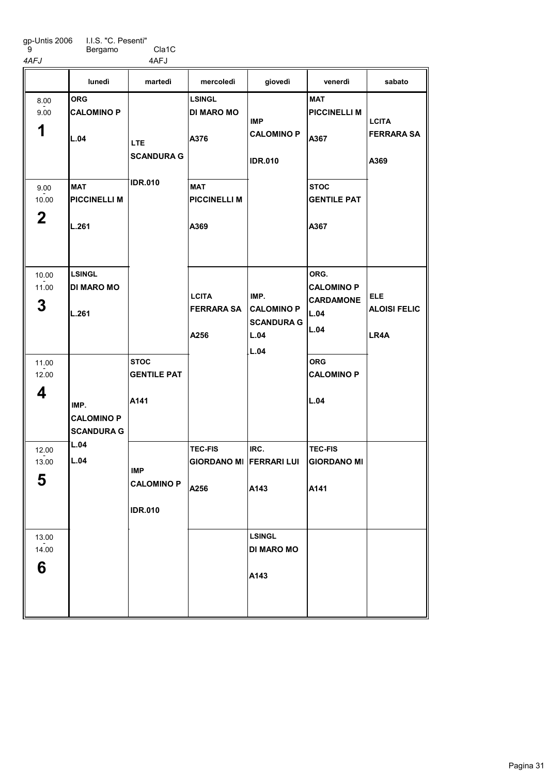Bergamo Cla1C 4AFJ 4AFJ

ORG CALOMINO P L.04 MAT PICCINELLI M L.261 LSINGL DI MARO MO L.261 **STOC** GENTILE PAT A141 LSINGL DI MARO MO A376 MAT PICCINELLI M A369 TEC-FIS GIORDANO MI FERRARI LUI A256 IRC. A143 LSINGL DI MARO MO A143 **MAT** PICCINELLI M A367 **STOC** GENTILE PAT A367 ORG. CALOMINO P CARDAMONE L.04 L.04 ORG CALOMINO P L.04 TEC-FIS GIORDANO MI A141 lunedì martedì mercoledì giovedì venerdì sabato 1 8.00 - 9.00 2 9.00  $-2.00$ 3 10.00 - 11.00 4 11.00  $-2.00$ 5 12.00  $-2.00$ 6 13.00  $-2.00$ IMP. CALOMINO P SCANDURA G L.04 L.04 LTE **SCANDURA G** IDR.010 IMP CALOMINO P IDR.010 **LCITA** FERRARA SA A256 IMP CALOMINO P IDR.010 IMP. CALOMINO P SCANDURA G L.04 L.04 **LCITA** FERRARA SA A369 ELE ALOISI FELIC LR4A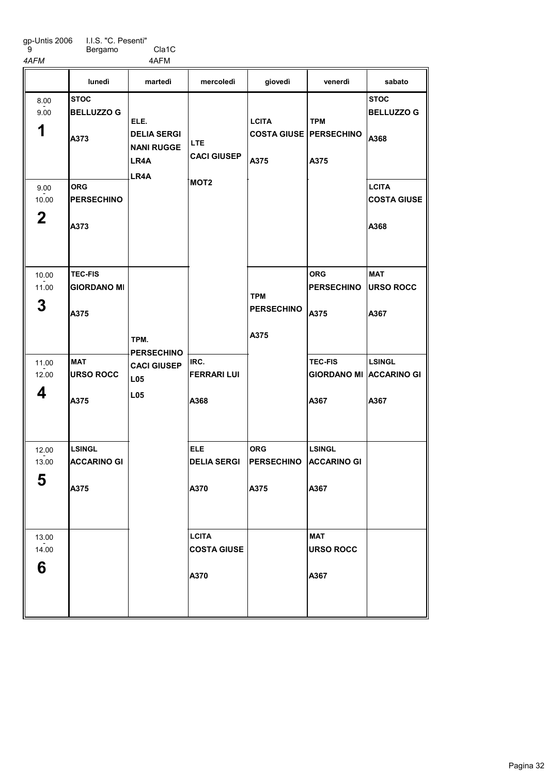Bergamo Cla1C

 9 4AFM 4AFM

|                              | lunedì                                       | martedì                                                         | mercoledì                                  | giovedì                                                 | venerdì                                                  | sabato                                     |
|------------------------------|----------------------------------------------|-----------------------------------------------------------------|--------------------------------------------|---------------------------------------------------------|----------------------------------------------------------|--------------------------------------------|
| 8.00<br>9.00<br>1            | <b>STOC</b><br><b>BELLUZZO G</b><br>A373     | ELE.<br><b>DELIA SERGI</b><br><b>NANI RUGGE</b><br>LR4A<br>LR4A | <b>LTE</b><br><b>CACI GIUSEP</b>           | <b>LCITA</b><br><b>COSTA GIUSE   PERSECHINO</b><br>A375 | <b>TPM</b><br>A375                                       | <b>STOC</b><br><b>BELLUZZO G</b><br>A368   |
| 9.00<br>10.00<br>$\mathbf 2$ | <b>ORG</b><br><b>PERSECHINO</b><br>A373      |                                                                 | MOT <sub>2</sub>                           |                                                         |                                                          | <b>LCITA</b><br><b>COSTA GIUSE</b><br>A368 |
| 10.00<br>11.00<br>3          | <b>TEC-FIS</b><br><b>GIORDANO MI</b><br>A375 | TPM.                                                            |                                            | <b>TPM</b><br><b>PERSECHINO</b><br>A375                 | <b>ORG</b><br><b>PERSECHINO</b><br>A375                  | <b>MAT</b><br><b>URSO ROCC</b><br>A367     |
| 11.00<br>12.00<br>4          | <b>MAT</b><br><b>URSO ROCC</b><br>A375       | <b>PERSECHINO</b><br><b>CACI GIUSEP</b><br>L05<br>L05           | IRC.<br><b>FERRARI LUI</b><br>A368         |                                                         | <b>TEC-FIS</b><br><b>GIORDANO MI ACCARINO GI</b><br>A367 | LSINGL<br>A367                             |
| 12.00<br>13.00<br>E.<br>ູວ   | <b>LSINGL</b><br><b>ACCARINO GI</b><br>A375  |                                                                 | <b>ELE</b><br><b>DELIA SERGI</b><br>A370   | <b>ORG</b><br><b>PERSECHINO</b><br>A375                 | <b>LSINGL</b><br><b>ACCARINO GI</b><br>A367              |                                            |
| 13.00<br>14.00<br>6          |                                              |                                                                 | <b>LCITA</b><br><b>COSTA GIUSE</b><br>A370 |                                                         | <b>MAT</b><br><b>URSO ROCC</b><br>A367                   |                                            |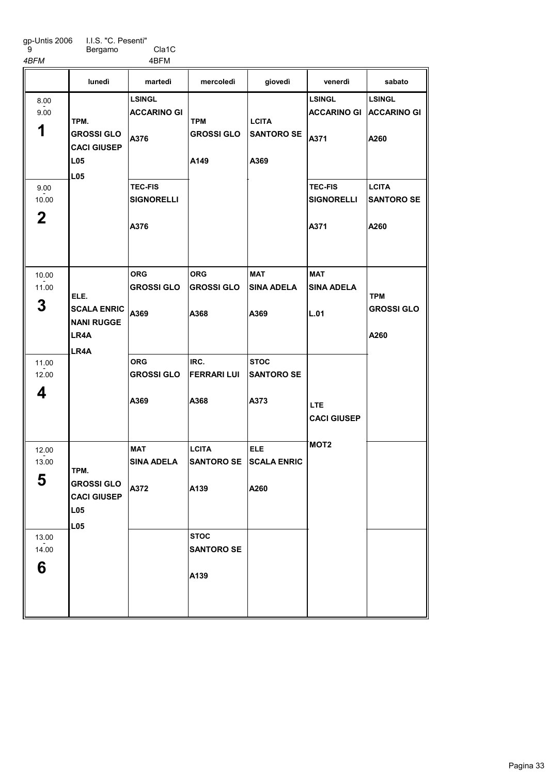9

Bergamo Cla1C 4BFM 4BFM

LSINGL ACCARINO GI A376 TEC-FIS SIGNORELLI A376 ORG GROSSI GLO A369 ORG GROSSI GLO A369 MAT SINA ADELA A372 ORG GROSSI GLO A368 IRC. FERRARI LUI A368 **LCITA** SANTORO SE A139 **STOC** SANTORO SE A139 MAT SINA ADELA A369 **STOC** SANTORO SE A373 ELE SCALA ENRIC A260 LSINGL ACCARINO GI ACCARINO GI A371 TEC-FIS **SIGNORELLI** A371 MAT **SINA ADELA** L.01 LSINGL A260 **LCITA** SANTORO SE A260 lunedì martedì mercoledì giovedì venerdì sabato 1 8.00 - 9.00 2 9.00  $-2.00$ 3 10.00 - 11.00 4 11.00  $-2.00$ 5 12.00  $-2.00$ 6 13.00  $-2.00$ TPM. GROSSI GLO CACI GIUSEP L05 L05 ELE. SCALA ENRIC NANI RUGGE LR4A LR4A TPM. GROSSI GLO CACI GIUSEP L05 L05 TPM GROSSI GLO A149 **LCITA** SANTORO SE A369 LTE CACI GIUSEP MOT2 TPM GROSSI GLO A260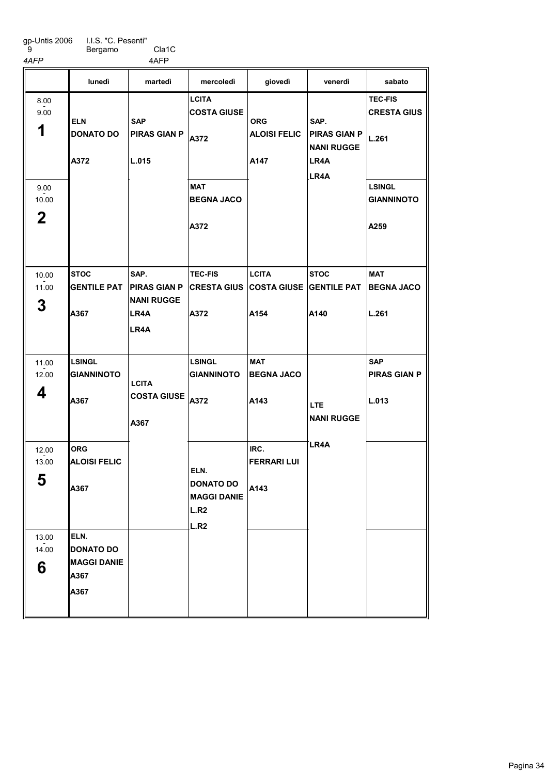gp-Untis 2006 9 I.I.S. "C. Pesenti" Bergamo Cla1C

4AFP 4AFP

**STOC** GENTILE PAT A367 LSINGL GIANNINOTO A367 ORG ALOISI FELIC A367 ELN. DONATO DO MAGGI DANIE A367 A367 SAP. PIRAS GIAN P NANI RUGGE LR4A LR4A **LCITA** COSTA GIUSE A372 MAT BEGNA JACO A372 TEC-FIS CRESTA GIUS | COSTA GIUSE | GENTILE PAT | BEGNA JACO A372 LSINGL GIANNINOTO A372 **LCITA** A154 MAT BEGNA JACO A143 IRC. FERRARI LUI A143 **STOC** A140 TEC-FIS CRESTA GIUS L.261 LSINGL GIANNINOTO A259 MAT L.261 SAP PIRAS GIAN P L.013 lunedì martedì mercoledì giovedì venerdì sabato 1 8.00 - 9.00 2 9.00  $-2.00$ 3 10.00 - 11.00 4 11.00  $-2.00$ 5 12.00  $-2.00$ 6 13.00  $-2.00$ ELN DONATO DO A372 SAP PIRAS GIAN P L.015 **LCITA** COSTA GIUSE A367 ELN. DONATO DO MAGGI DANIE L.R2 L.R2 ORG ALOISI FELIC A147 SAP. PIRAS GIAN P NANI RUGGE LR4A LR4A LTE NANI RUGGE LR4A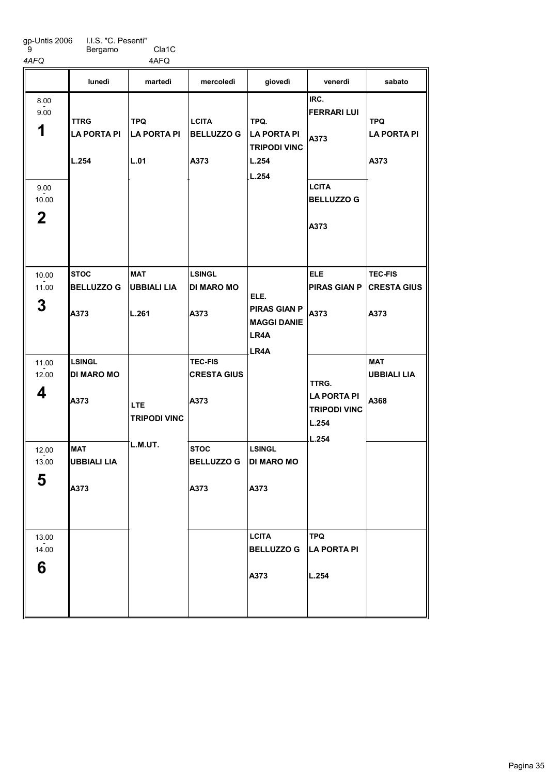Bergamo Cla1C 4AFQ 4AFQ

|                                                   | lunedì                                     | martedì                                   | mercoledì                                    | giovedì                                                           | venerdì                                                                         | sabato                                       |
|---------------------------------------------------|--------------------------------------------|-------------------------------------------|----------------------------------------------|-------------------------------------------------------------------|---------------------------------------------------------------------------------|----------------------------------------------|
| 8.00<br>9.00<br>1<br>9.00<br>10.00<br>$\mathbf 2$ | <b>TTRG</b><br><b>LA PORTA PI</b><br>L.254 | <b>TPQ</b><br>LA PORTA PI<br>L.01         | <b>LCITA</b><br><b>BELLUZZO G</b><br>A373    | TPQ.<br>LA PORTA PI<br><b>TRIPODI VINC</b><br>L.254<br>LL.254     | IRC.<br><b>FERRARI LUI</b><br>A373<br><b>LCITA</b><br><b>BELLUZZO G</b><br>A373 | <b>TPQ</b><br><b>LA PORTA PI</b><br>A373     |
| 10.00<br>11.00<br>3                               | <b>STOC</b><br><b>BELLUZZO G</b><br>A373   | <b>MAT</b><br><b>UBBIALI LIA</b><br>L.261 | <b>LSINGL</b><br><b>DI MARO MO</b><br>A373   | ELE.<br><b>PIRAS GIAN P</b><br><b>MAGGI DANIE</b><br>LR4A<br>LR4A | <b>ELE</b><br><b>PIRAS GIAN P</b><br>A373                                       | <b>TEC-FIS</b><br><b>CRESTA GIUS</b><br>A373 |
| 11.00<br>12.00<br>4                               | <b>LSINGL</b><br><b>DI MARO MO</b><br>A373 | LTE<br><b>TRIPODI VINC</b>                | <b>TEC-FIS</b><br><b>CRESTA GIUS</b><br>A373 |                                                                   | TTRG.<br><b>LA PORTA PI</b><br><b>TRIPODI VINC</b><br>L.254<br>L.254            | <b>MAT</b><br><b>UBBIALI LIA</b><br>A368     |
| 12.00<br>13.00<br>5                               | <b>MAT</b><br><b>UBBIALI LIA</b><br>A373   | L.M.UT.                                   | <b>STOC</b><br><b>BELLUZZO G</b><br>A373     | <b>LSINGL</b><br><b>DI MARO MO</b><br>A373                        |                                                                                 |                                              |
| 13.00<br>14.00<br>6                               |                                            |                                           |                                              | <b>LCITA</b><br><b>BELLUZZO G</b><br>A373                         | <b>TPQ</b><br><b>LA PORTA PI</b><br>L.254                                       |                                              |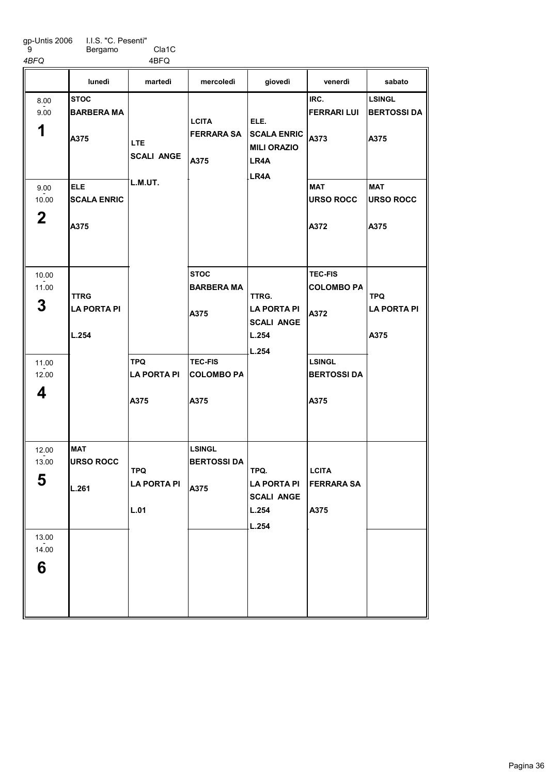9

Bergamo Cla1C

4BFQ 4BFQ **STOC** BARBERA MA A375 ELE **SCALA ENRIC** A375 **MAT** URSO ROCC L.261 TPQ LA PORTA PI A375 **STOC** BARBERA MA A375 TEC-FIS COLOMBO PA A375 LSINGL BERTOSSI DA A375 IRC. FERRARI LUI A373 MAT URSO ROCC A372 TEC-FIS COLOMBO PA A372 LSINGL BERTOSSI DA A375 LSINGL BERTOSSI DA A375 MAT URSO ROCC A375 lunedì martedì mercoledì giovedì venerdì sabato 1 8.00 - 9.00 2 9.00  $-2.00$ 3 10.00 - 11.00 4 11.00  $-2.00$ 5 12.00  $-2.00$ 6 13.00  $-2.00$ TTRG LA PORTA PI L.254 LTE SCALI ANGE L.M.UT. TPQ LA PORTA PI L.01 **LCITA** FERRARA SA A375 ELE. SCALA ENRIC MILI ORAZIO LR4A LR4A TTRG. LA PORTA PI SCALI ANGE L.254 L.254 TPQ. LA PORTA PI SCALI ANGE L.254 L.254 **LCITA** FERRARA SA A375 TPQ LA PORTA PI A375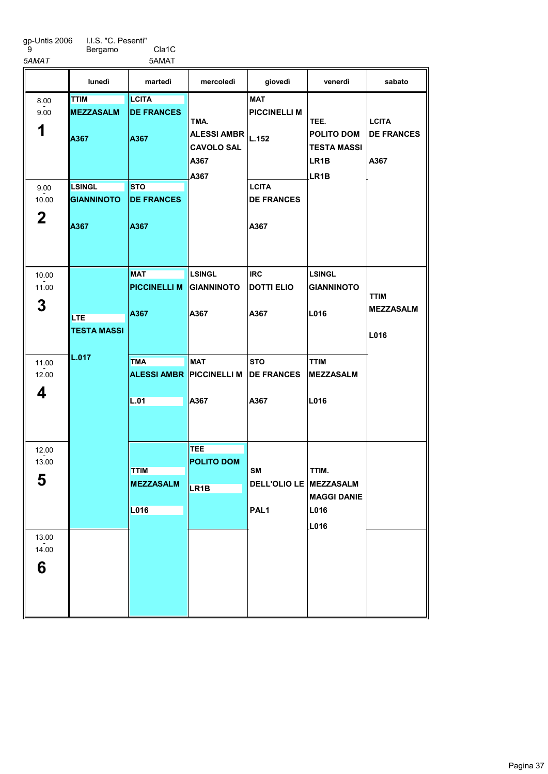I.I.S. "C. Pesenti" Bergamo Cla1C

5AMAT 5AMAT

|              | lunedì                           | martedì                           | mercoledì                                               | giovedì                           | venerdì                                                              | sabato                          |
|--------------|----------------------------------|-----------------------------------|---------------------------------------------------------|-----------------------------------|----------------------------------------------------------------------|---------------------------------|
| 8.00<br>9.00 | <b>TTIM</b><br><b>IMEZZASALM</b> | <b>LCITA</b><br><b>DE FRANCES</b> | TMA.                                                    | <b>MAT</b><br><b>PICCINELLI M</b> | TEE.                                                                 | <b>LCITA</b>                    |
| 1            | A367                             | A367                              | <b>ALESSI AMBR</b><br><b>CAVOLO SAL</b><br>A367<br>A367 | L.152                             | <b>POLITO DOM</b><br><b>TESTA MASSI</b><br>LR <sub>1</sub> B<br>LR1B | <b>DE FRANCES</b><br>A367       |
| 9.00         | LSINGL                           | <b>STO</b>                        |                                                         | <b>LCITA</b>                      |                                                                      |                                 |
| 10.00        | <b>GIANNINOTO</b>                | <b>DE FRANCES</b>                 |                                                         | <b>DE FRANCES</b>                 |                                                                      |                                 |
| $\mathbf 2$  | A367                             | A367                              |                                                         | A367                              |                                                                      |                                 |
| 10.00        |                                  | <b>MAT</b>                        | <b>LSINGL</b>                                           | <b>IRC</b>                        | <b>LSINGL</b>                                                        |                                 |
| 11.00        |                                  | <b>PICCINELLI M</b>               | <b>GIANNINOTO</b>                                       | <b>DOTTI ELIO</b>                 | <b>GIANNINOTO</b>                                                    |                                 |
| 3            | <b>LTE</b>                       | A367                              | A367                                                    | A367                              | L016                                                                 | <b>TTIM</b><br><b>MEZZASALM</b> |
|              | <b>TESTA MASSI</b>               |                                   |                                                         |                                   |                                                                      | L016                            |
| 11.00        | L.017                            | <b>TMA</b>                        | <b>MAT</b>                                              | <b>STO</b>                        | <b>TTIM</b>                                                          |                                 |
| 12.00        |                                  | <b>ALESSI AMBR</b>                | <b>PICCINELLI M</b>                                     | <b>DE FRANCES</b>                 | <b>MEZZASALM</b>                                                     |                                 |
| 4            |                                  |                                   |                                                         |                                   |                                                                      |                                 |
|              |                                  | L.01                              | A367                                                    | A367                              | L016                                                                 |                                 |
|              |                                  |                                   |                                                         |                                   |                                                                      |                                 |
| 12.00        |                                  |                                   | <b>TEE</b>                                              |                                   |                                                                      |                                 |
| 13.00        |                                  | <b>TTIM</b>                       | <b>POLITO DOM</b>                                       |                                   | TTIM.                                                                |                                 |
| E<br>ა       |                                  | <b>MEZZASALM</b>                  |                                                         | SΜ<br>DELL'OLIO LE MEZZASALM      |                                                                      |                                 |
|              |                                  |                                   | LR <sub>1</sub> B                                       |                                   | <b>MAGGI DANIE</b>                                                   |                                 |
|              |                                  | L016                              |                                                         | PAL <sub>1</sub>                  | L016                                                                 |                                 |
|              |                                  |                                   |                                                         |                                   | L016                                                                 |                                 |
| 13.00        |                                  |                                   |                                                         |                                   |                                                                      |                                 |
| 14.00        |                                  |                                   |                                                         |                                   |                                                                      |                                 |
| 6            |                                  |                                   |                                                         |                                   |                                                                      |                                 |
|              |                                  |                                   |                                                         |                                   |                                                                      |                                 |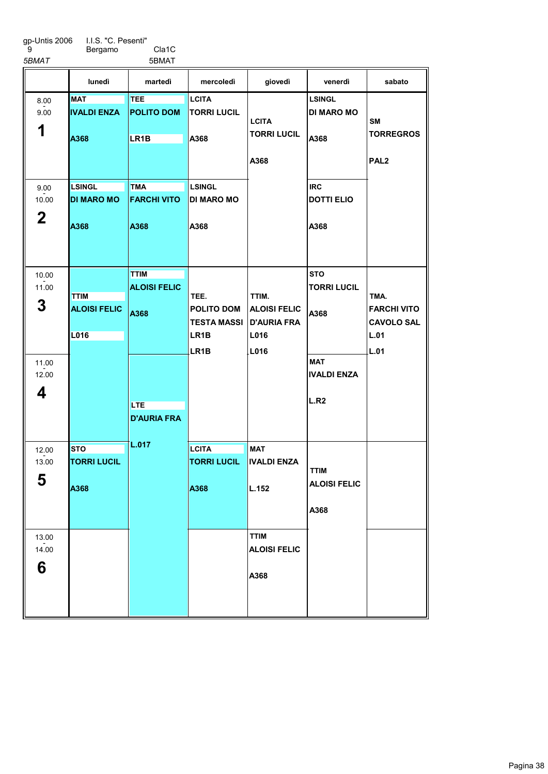I.I.S. "C. Pesenti" Bergamo Cla1C

5BMAT 5BMAT

|                                            | lunedì                                     | martedì                                                                        | mercoledì                                                                    | giovedì                                                            | venerdì                                                                                          | sabato                                                          |
|--------------------------------------------|--------------------------------------------|--------------------------------------------------------------------------------|------------------------------------------------------------------------------|--------------------------------------------------------------------|--------------------------------------------------------------------------------------------------|-----------------------------------------------------------------|
| 8.00<br>9.00<br>1                          | <b>MAT</b><br><b>IIVALDI ENZA</b><br>A368  | <b>TEE</b><br><b>POLITO DOM</b><br>LR1B                                        | <b>LCITA</b><br><b>TORRI LUCIL</b><br>A368                                   | <b>LCITA</b><br><b>TORRI LUCIL</b><br>A368                         | <b>LSINGL</b><br><b>DI MARO MO</b><br>A368                                                       | <b>SM</b><br><b>TORREGROS</b><br>PAL <sub>2</sub>               |
| 9.00<br>10.00<br>$\mathbf 2$               | <b>LSINGL</b><br><b>DI MARO MO</b><br>A368 | <b>TMA</b><br><b>FARCHI VITO</b><br>A368                                       | <b>LSINGL</b><br><b>DI MARO MO</b><br>A368                                   |                                                                    | <b>IRC</b><br><b>DOTTI ELIO</b><br>A368                                                          |                                                                 |
| 10.00<br>11.00<br>3<br>11.00<br>12.00<br>4 | <b>TTIM</b><br><b>ALOISI FELIC</b><br>L016 | <b>TTIM</b><br><b>ALOISI FELIC</b><br>A368<br><b>LTE</b><br><b>D'AURIA FRA</b> | TEE.<br><b>POLITO DOM</b><br><b>TESTA MASSI</b><br>LR1B<br>LR <sub>1</sub> B | TTIM.<br><b>ALOISI FELIC</b><br><b>D'AURIA FRA</b><br>L016<br>L016 | <b>STO</b><br><b>TORRI LUCIL</b><br>A368<br><b>MAT</b><br><b>IVALDI ENZA</b><br>L.R <sub>2</sub> | TMA.<br><b>FARCHI VITO</b><br><b>CAVOLO SAL</b><br>L.01<br>L.01 |
| 12.00<br>13.00<br>5                        | <b>STO</b><br><b>TORRI LUCIL</b><br>A368   | L.017                                                                          | <b>LCITA</b><br><b>TORRI LUCIL</b><br>A368                                   | <b>MAT</b><br><b>IVALDI ENZA</b><br>L.152                          | <b>TTIM</b><br><b>ALOISI FELIC</b><br>A368                                                       |                                                                 |
| 13.00<br>14.00<br>6                        |                                            |                                                                                |                                                                              | <b>TTIM</b><br><b>ALOISI FELIC</b><br>A368                         |                                                                                                  |                                                                 |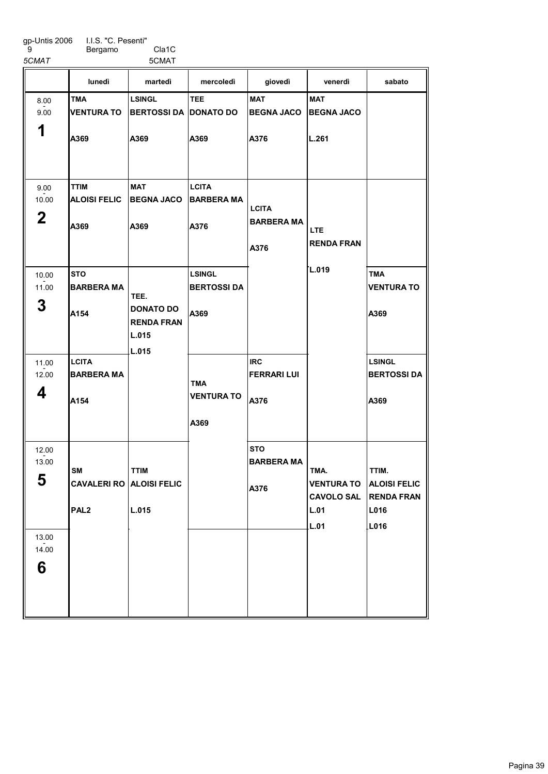I.I.S. "C. Pesenti"

| -9    | Bergamo | Cla1C |
|-------|---------|-------|
| 5CMAT |         | 5CMAT |

|                              | lunedì                                             | martedì                                                  | mercoledì                                   | giovedì                                   | venerdì                                                        | sabato                                                            |
|------------------------------|----------------------------------------------------|----------------------------------------------------------|---------------------------------------------|-------------------------------------------|----------------------------------------------------------------|-------------------------------------------------------------------|
| 8.00<br>9.00<br>1            | <b>TMA</b><br><b>VENTURA TO</b><br>A369            | <b>LSINGL</b><br><b>BERTOSSI DA IDONATO DO</b><br>A369   | TEE<br>A369                                 | <b>MAT</b><br><b>BEGNA JACO</b><br>A376   | <b>MAT</b><br><b>BEGNA JACO</b><br>L.261                       |                                                                   |
| 9.00<br>10.00<br>$\mathbf 2$ | <b>TTIM</b><br><b>ALOISI FELIC</b><br>A369         | <b>MAT</b><br><b>BEGNA JACO</b><br>A369                  | <b>LCITA</b><br><b>BARBERA MA</b><br>A376   | <b>LCITA</b><br><b>BARBERA MA</b><br>A376 | <b>LTE</b><br><b>RENDA FRAN</b>                                |                                                                   |
| 10.00<br>11.00<br>3          | <b>STO</b><br><b>BARBERA MA</b><br>A154            | TEE.<br>DONATO DO<br><b>RENDA FRAN</b><br>L.015<br>L.015 | <b>LSINGL</b><br><b>BERTOSSI DA</b><br>A369 |                                           | L.019                                                          | <b>TMA</b><br><b>VENTURA TO</b><br>A369                           |
| 11.00<br>12.00<br>4          | LCITA<br><b>BARBERA MA</b><br>A154                 |                                                          | TMA<br><b>VENTURA TO</b><br>A369            | <b>IRC</b><br><b>FERRARI LUI</b><br>A376  |                                                                | <b>LSINGL</b><br><b>BERTOSSI DA</b><br>A369                       |
| 12.00<br>13.00<br>5          | SM<br>CAVALERI RO ALOISI FELIC<br>PAL <sub>2</sub> | <b>TTIM</b><br>L.015                                     |                                             | <b>STO</b><br><b>BARBERA MA</b><br>A376   | TMA.<br><b>VENTURA TO</b><br><b>CAVOLO SAL</b><br>L.01<br>L.01 | TTIM.<br><b>ALOISI FELIC</b><br><b>RENDA FRAN</b><br>L016<br>L016 |
| 13.00<br>14.00<br>6          |                                                    |                                                          |                                             |                                           |                                                                |                                                                   |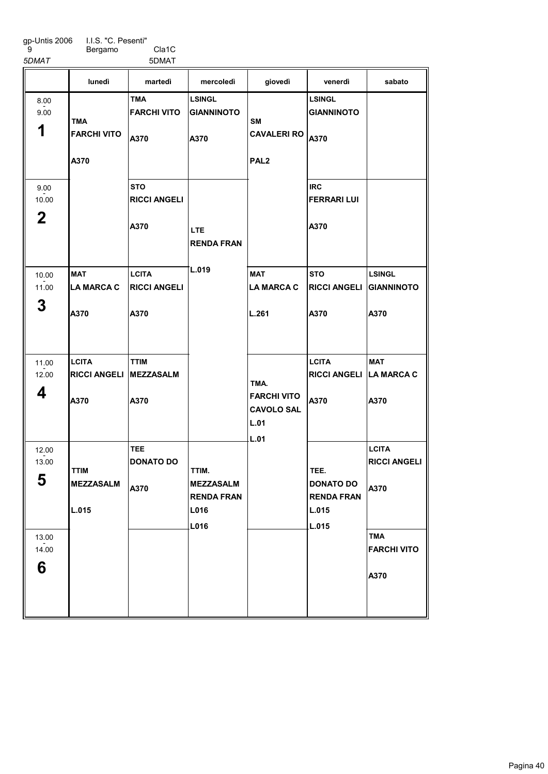I.I.S. "C. Pesenti" Bergamo Cla1C

5DMAT 5DMAT

|                                                 | lunedì                                      | martedì                                     | mercoledì                                                      | giovedì                                                 | venerdì                                                         | sabato                                                                                  |
|-------------------------------------------------|---------------------------------------------|---------------------------------------------|----------------------------------------------------------------|---------------------------------------------------------|-----------------------------------------------------------------|-----------------------------------------------------------------------------------------|
| 8.00<br>9.00<br>1                               | <b>TMA</b><br><b>FARCHI VITO</b><br>A370    | <b>TMA</b><br><b>FARCHI VITO</b><br>A370    | <b>LSINGL</b><br><b>GIANNINOTO</b><br>A370                     | SΜ<br><b>CAVALERI RO</b><br>PAL <sub>2</sub>            | <b>LSINGL</b><br><b>GIANNINOTO</b><br>A370                      |                                                                                         |
| 9.00<br>10.00<br>$\mathbf 2$                    |                                             | <b>STO</b><br><b>RICCI ANGELI</b><br>A370   | <b>LTE</b><br><b>RENDA FRAN</b>                                |                                                         | <b>IRC</b><br><b>FERRARI LUI</b><br>A370                        |                                                                                         |
| 10.00<br>11.00<br>3                             | <b>MAT</b><br><b>LA MARCA C</b><br>A370     | <b>LCITA</b><br><b>RICCI ANGELI</b><br>A370 | L.019                                                          | <b>MAT</b><br><b>LA MARCA C</b><br>L.261                | <b>STO</b><br><b>RICCI ANGELI</b><br>A370                       | <b>LSINGL</b><br>GIANNINOTO<br>A370                                                     |
| 11.00<br>12.00<br>4                             | <b>LCITA</b><br><b>RICCI ANGELI</b><br>A370 | <b>TTIM</b><br><b>MEZZASALM</b><br>A370     |                                                                | TMA.<br><b>FARCHI VITO</b><br><b>CAVOLO SAL</b><br>L.01 | <b>LCITA</b><br>RICCI ANGELI LA MARCA C<br>A370                 | <b>MAT</b><br>A370                                                                      |
| 12.00<br>13.00<br>F<br>ა<br>13.00<br>14.00<br>6 | <b>TTIM</b><br><b>MEZZASALM</b><br>L.015    | <b>TEE</b><br><b>DONATO DO</b><br>A370      | TTIM.<br><b>MEZZASALM</b><br><b>RENDA FRAN</b><br>L016<br>L016 | L.01                                                    | TEE.<br><b>DONATO DO</b><br><b>RENDA FRAN</b><br>L.015<br>L.015 | <b>LCITA</b><br><b>RICCI ANGELI</b><br>A370<br><b>TMA</b><br><b>FARCHI VITO</b><br>A370 |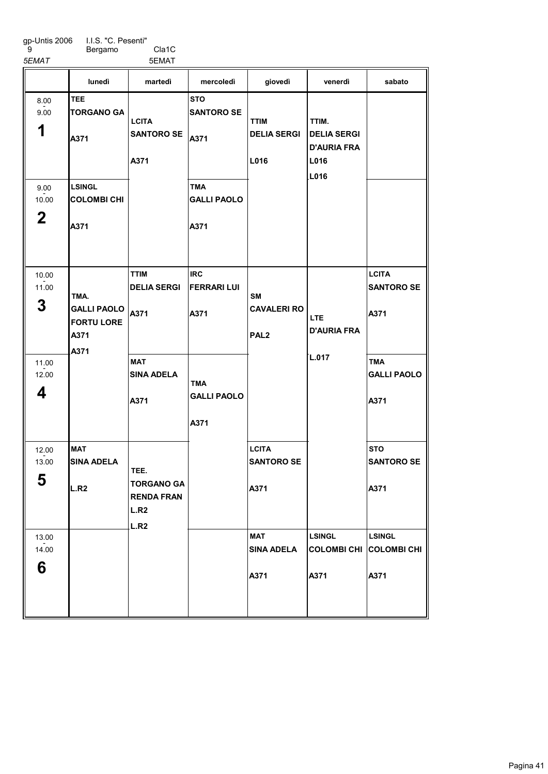I.I.S. "C. Pesenti"

9

Bergamo Cla1C 5EMAT 5EMAT

|                              | lunedì                                                          | martedì                                                                    | mercoledì                                | giovedì                                             | venerdì                                                   | sabato                                    |
|------------------------------|-----------------------------------------------------------------|----------------------------------------------------------------------------|------------------------------------------|-----------------------------------------------------|-----------------------------------------------------------|-------------------------------------------|
| 8.00<br>9.00<br>1            | <b>TEE</b><br><b>TORGANO GA</b><br>A371                         | <b>LCITA</b><br><b>SANTORO SE</b><br>A371                                  | <b>STO</b><br><b>SANTORO SE</b><br>A371  | <b>TTIM</b><br><b>DELIA SERGI</b><br>L016           | TTIM.<br><b>DELIA SERGI</b><br><b>D'AURIA FRA</b><br>L016 |                                           |
| 9.00<br>10.00<br>$\mathbf 2$ | <b>LSINGL</b><br><b>COLOMBI CHI</b><br>A371                     |                                                                            | <b>TMA</b><br><b>GALLI PAOLO</b><br>A371 |                                                     | L016                                                      |                                           |
| 10.00<br>11.00<br>3          | TMA.<br><b>GALLI PAOLO</b><br><b>FORTU LORE</b><br>A371<br>A371 | <b>TTIM</b><br><b>DELIA SERGI</b><br>A371                                  | <b>IRC</b><br><b>FERRARI LUI</b><br>A371 | <b>SM</b><br><b>CAVALERI RO</b><br>PAL <sub>2</sub> | LTE.<br><b>D'AURIA FRA</b>                                | <b>LCITA</b><br><b>SANTORO SE</b><br>A371 |
| 11.00<br>12.00<br>4          |                                                                 | <b>MAT</b><br><b>SINA ADELA</b><br>A371                                    | <b>TMA</b><br><b>GALLI PAOLO</b><br>A371 |                                                     | L.017                                                     | <b>TMA</b><br><b>GALLI PAOLO</b><br>A371  |
| 12.00<br>13.00<br>E<br>ວ     | <b>MAT</b><br><b>SINA ADELA</b><br>L.R2                         | TEE.<br><b>TORGANO GA</b><br><b>RENDA FRAN</b><br>L.R2<br>L.R <sub>2</sub> |                                          | <b>LCITA</b><br><b>SANTORO SE</b><br>A371           |                                                           | <b>STO</b><br><b>SANTORO SE</b><br>A371   |
| 13.00<br>14.00<br>6          |                                                                 |                                                                            |                                          | <b>MAT</b><br><b>SINA ADELA</b><br>A371             | <b>LSINGL</b><br>COLOMBICHI COLOMBICHI<br>A371            | <b>LSINGL</b><br>A371                     |